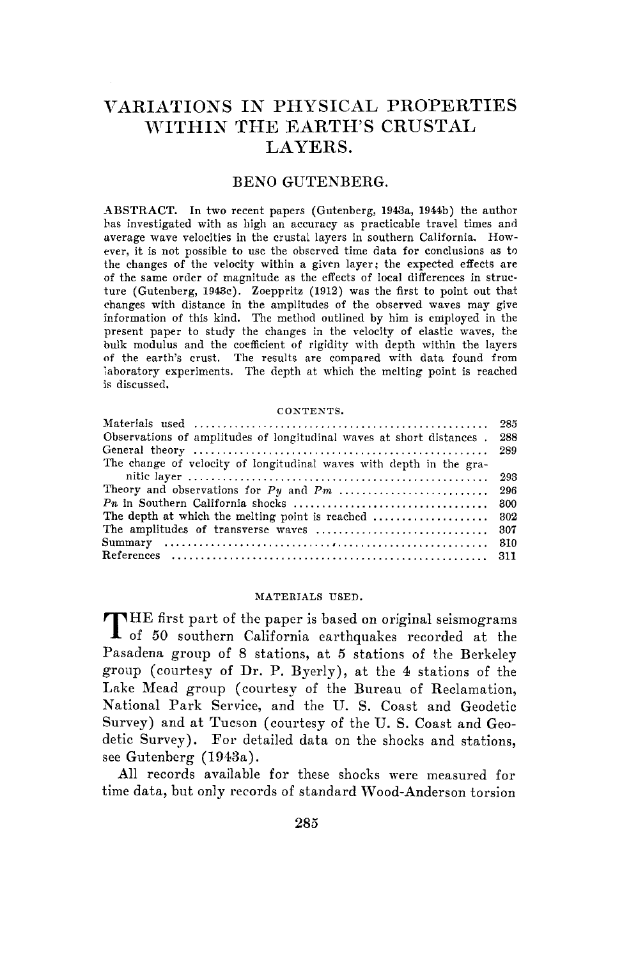# VARIATIONS IN PHYSICAL PROPERTIES WITHIN THE EARTH'S CRUSTAL LAYERS.

#### BENO GUTENBERG.

ABSTRACT. In two recent papers (Gutenberg, 1943a, 1944b) the author has investigated with as high an accuracy as practicable travel times and average wave velocities in the crustal layers in southern California. However, it is not possible to use the observed time data for conclusions as to the changes of the velocity within a given layer; the expected effects are of the same order of magnitude as the effects of local differences in structure (Gutenberg, 1943c). Zoeppritz (1912) was the first to point out that changes with distance in the amplitudes of the observed waves may give information of this kind. The method outlined by him is employed in the present paper to study the changes in the velocity of elastic waves, the bulk modulus and the coefficient of rigidity with depth within the layers of the earth's crust. The results are compared with data found from laboratory experiments. The depth at which the melting point is reached is discussed.

#### CONTENTS.

| Observations of amplitudes of longitudinal waves at short distances. | -288  |
|----------------------------------------------------------------------|-------|
|                                                                      |       |
| The change of velocity of longitudinal waves with depth in the gra-  |       |
|                                                                      |       |
|                                                                      |       |
|                                                                      | - 300 |
| The depth at which the melting point is reached                      | - 302 |
| The amplitudes of transverse waves                                   | - 307 |
|                                                                      |       |
|                                                                      |       |
|                                                                      |       |

#### MATERIALS USED.

THE first part of the paper is based on original seismograms<br>
of 50 southern California earthquakes recorded at the Pasadena group of 8 stations, at 5 stations of the Berkeley group ( courtesy of **Dr. P.** Byerly), at the 4 stations of the Lake Mead group ( courtesy of the Bureau of Reclamation, National Park Service, and the U. S. Coast and Geodetic Survey) and at Tucson ( courtesy of the U. S. Coast and Geodetic Survey). For detailed data on the shocks and stations, see Gutenberg (1943a).

All records available for these shocks were measured for time data, but only records of standard Wood-Anderson torsion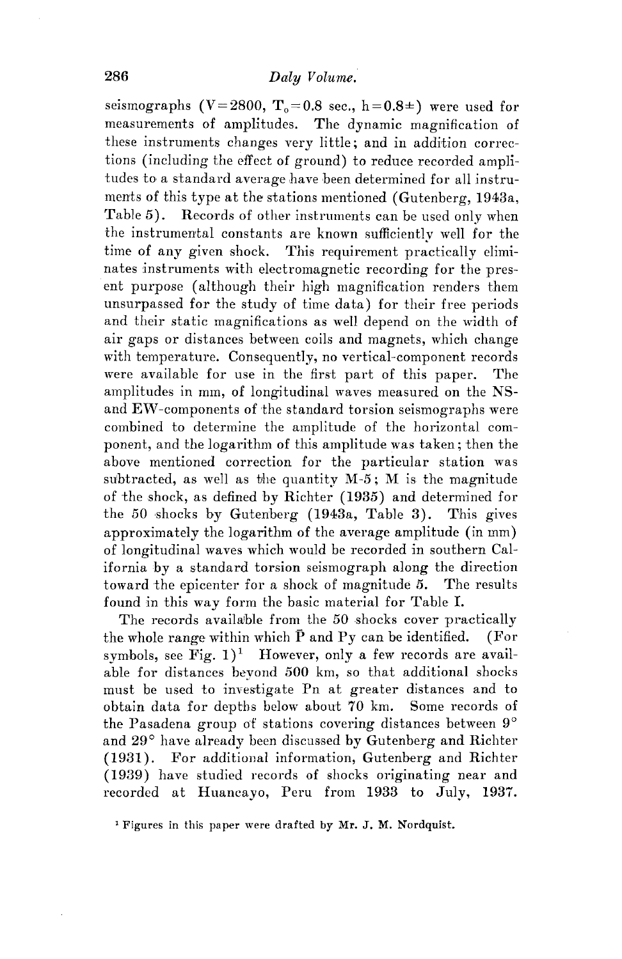seismographs  $(V=2800, T_0=0.8 \text{ sec.}, h=0.8\pm)$  were used for measurements of amplitudes. The dynamic magnification of these instruments changes very little; and in addition corrections (including the effect of ground) to reduce recorded amplitudes to a standard average have heen determined for all instruments of this type at the stations mentioned (Gutenberg, 1943a, Table 5). Records of other instruments can be used only when the instrumental constants are known sufficiently well for the time of any given shock. This requirement practically eliminates instruments with electromagnetic recording for the pres ent purpose (although their high magnification renders them unsurpassed for the study of time data) for their free periods and their static magnifications as well depend on the width of air gaps or distances between coils and magnets, which change with temperature. Consequently, no vertical-component records were available for use **in** the first part of this paper. The amplitudes in mm, of longitudinal waves measured on the NSand EW-components of the standard torsion seismographs were combined to determine the amplitude of the horizontal component, and the logarithm of this amplitude was taken; then the above mentioned correction for the particular station was sulbtracted, as well as bhe quantity *M-5;* M is the magnitude of the shock, as defined by Richter (1935) and determined for the 50 shocks by Gutenberg (1943a, Table 3). This gives approximately the logarithm of the average amplitude (in mm) of longitudinal waves which would be recorded in southern California by a standard torsion seismograph along the direction toward the epicenter for a shock of magnitude *5.* The results found in this way form the basic material for Table I.

The records available from the 50 shocks cover practically the whole range within which  $\overline{P}$  and  $P_y$  can be identified. (For symbols, see Fig.  $1$ <sup>1</sup> However, only a few records are available for distances beyond 500 km, so that additional shocks must be used to investigate Pn at greater distances and to obtain data for depths below about 70 km. Some records of the Pasadena group of stations covering distances between **9°**  and 29° have already been discussed hy Gutenberg and Richter (1931). For additional information, Gutenberg and Richter (1939) have studied records of shocks originating near and recorded at Huancayo, Peru from 1933 to July, 1937.

<sup>&</sup>lt;sup>1</sup> Figures in this paper were drafted by Mr. J. M. Nordquist.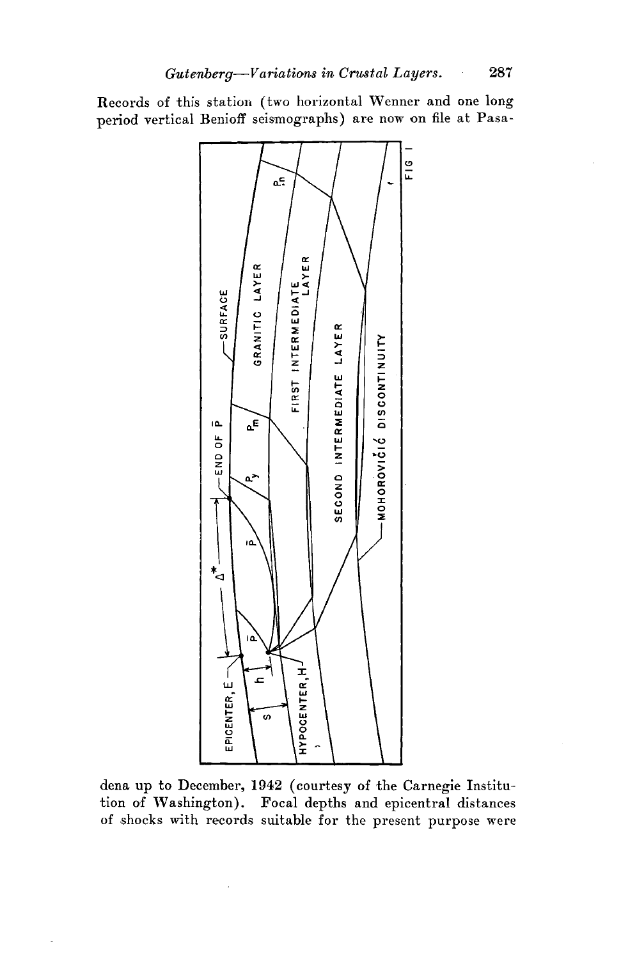Records of this station (two horizontal Wenner and one long period vertical Benioff seismographs) are now on file at Pasa-



dena up to December, 1942 ( courtesy of the Carnegie Institution of Washington). Focal depths and epicentral distances of shocks with records suitable for the present purpose were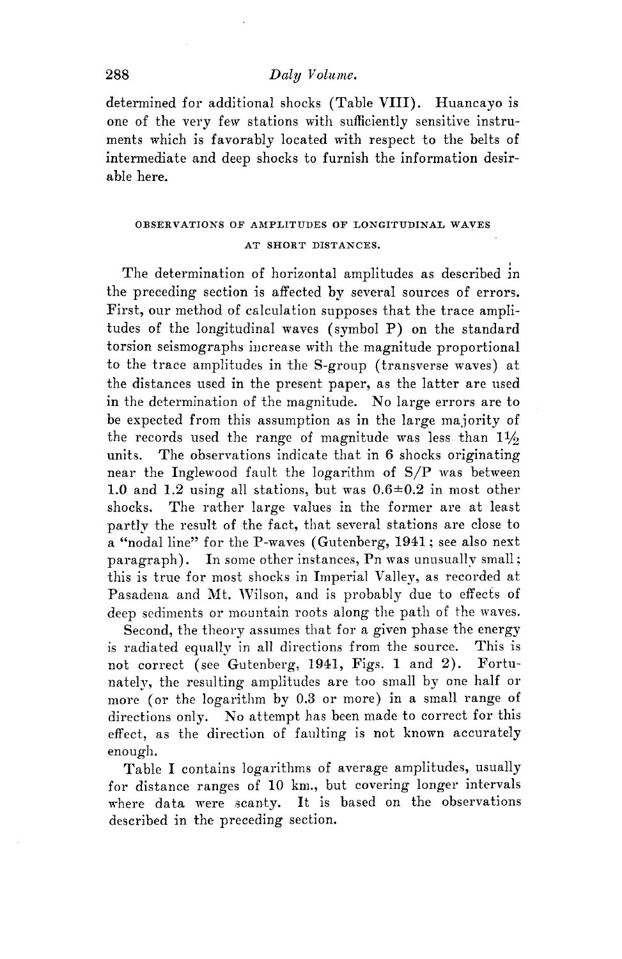### 288 *Dalu Volume.*

determined for additional shocks (Table VIII). Huancayo is one of the very few stations with sufficiently sensitive instruments which is favorably located with respect to the belts of intermediate and deep shocks to furnish the information desirable here.

## OBSERVATIONS OF AMPLITUDES OF LONGITUDINAL WAVES AT SHORT DISTANCES.

. The determination of horizontal amplitudes as described in the preceding section is affected by several sources of errors. First, our method of calculation supposes that the trace amplitudes of the longitudinal waves ( symbol P) on the standard torsion seismographs iucrease with the magnitude proportional to the trace amplitudes in the S-group ( transverse waves) at the distances used in the present paper, as the latter are used in the determination of the magnitude. No large errors are to be expected from this assumption as in the large majority of the records used the range of magnitude was less than  $1\frac{1}{2}$ units. The observations indicate that in 6 shocks originating near the Inglewood fault the logarithm of **S/P** was between 1.0 and 1.2 using all stations, but was  $0.6\pm0.2$  in most other shocks. The rather large values in the former are at least partly the result of the fact, that several stations are close to a "nodal line" for the P-waves (Gutenberg, 1941; see also next paragraph). In some other instances, Pn was unusually small: this is true for most shocks in Imperial Valley, as recorded at Pasadena and Mt. Wilson, and is probably due to effects of deep sediments or mountain roots along the path of the waves.

Second, the theory assumes that for a given phase the energy is radiated equally in all directions from the source. This is not correct (see Gutenberg, 1941, Figs. **1** and 2). Fortunately, the resulting amplitudes are too small by one half or more ( or the logarithm by 0.3 or more) in a small range of directions only. No attempt has been made to correct for this effect, as the direction of faulting is not known accurately enough.

Table I contains logarithms of average amplitudes, usually for distance ranges of 10 km., but covering longer intervals where data were scanty. It is based on the observations described in the preceding section.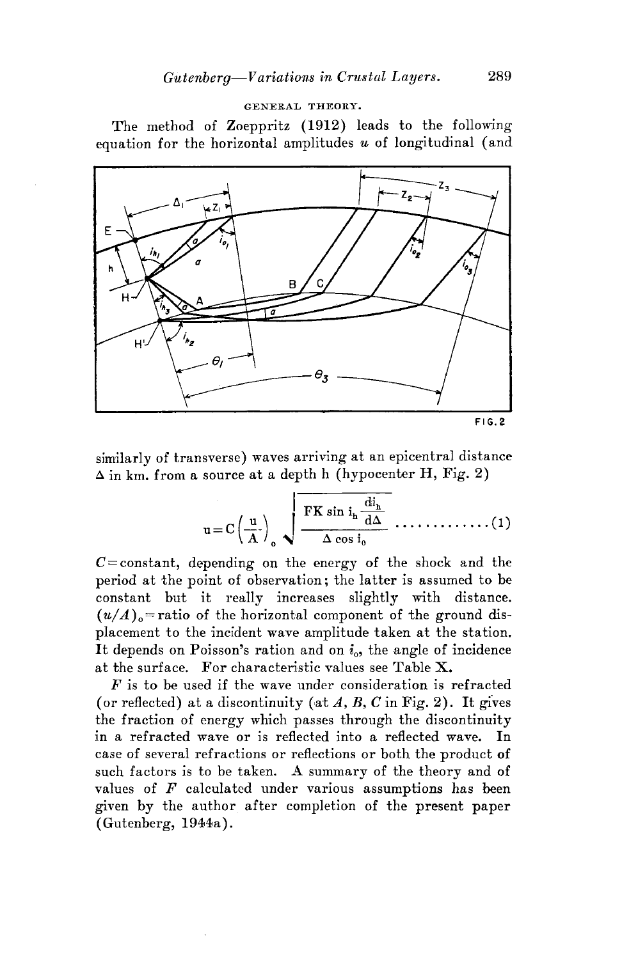#### GENERAL THEORY.

The method of Zoeppritz **(1912)** leads to the following equation for the horizontal amplitudes *u* of longitudinal (and



similarly of transverse) waves arriving at an epicentral distance  $\Delta$  in km. from a source at a depth h (hypocenter H, Fig. 2)

$$
u = C\left(\frac{u}{A}\right)_0 \sqrt{\frac{FK \sin i_h \frac{di_h}{d\Delta}}{\Delta \cos i_0}} \dots \dots \dots \dots \dots (1)
$$

 $C = constant$ , depending on the energy of the shock and the period at the point of observation; the latter is assumed to be constant but it really increases slightly with distance.  $(u/A)$ <sub>o</sub>=ratio of the horizontal component of the ground displacement to the incident wave amplitude taken at the station. It depends on Poisson's ration and on  $i_{0}$ , the angle of incidence at the surface. For characteristic values see Table  $X$ .

*F* is to be used if the wave under consideration is refracted (or reflected) at a discontinuity (at  $A, B, C$  in Fig. 2). It gives the fraction of energy which passes through the discontinuity in a refracted wave or is reflected into a reflected wave. In case of several refractions or reflections or both the product of such factors is to be taken. A summary of the theory and of values of *F* calculated under various assumptions has been given by the author after completion of the present paper (Gutenberg, 1944a).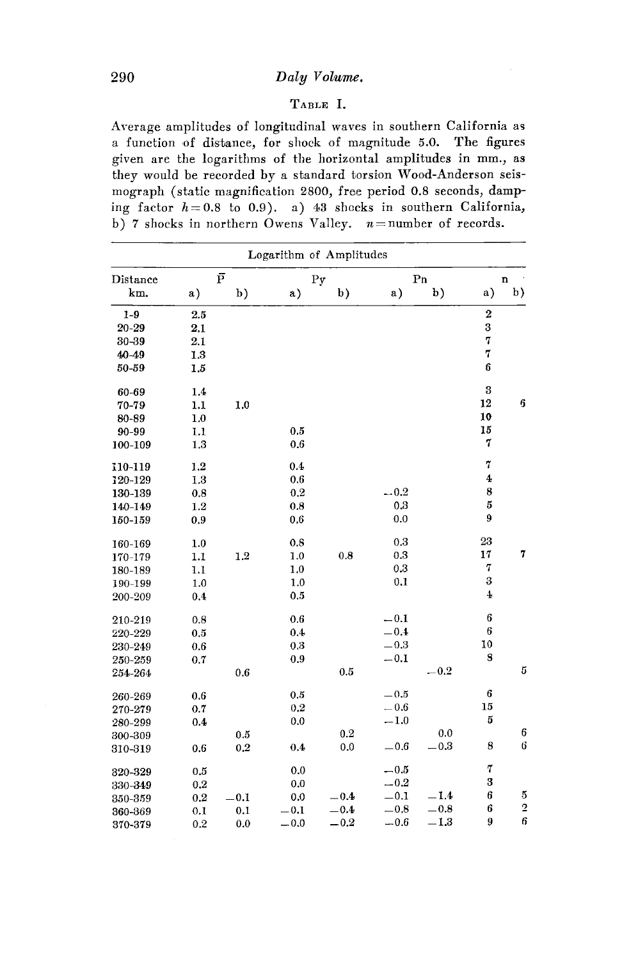## 290 *Daly V olwme.*

#### TABLE I.

Average amplitudes of longitudinal waves in southern California as a function of distance, for shock of magnitude 5.0. The figures given are the logarithms of the horizontal amplitudes in mm., as they would be recorded by a standard torsion Wood-Anderson seismograph (static magnification 2800, free period 0.8 seconds, damping factor  $h=0.8$  to 0.9). a) 43 shocks in southern California, b) 7 shocks in northern Owens Valley.  $n =$  number of records.

|           |     |                    | Logarithm of Amplitudes |        |        |               |                  |                         |
|-----------|-----|--------------------|-------------------------|--------|--------|---------------|------------------|-------------------------|
| Distance  |     | $\bar{\mathrm{P}}$ |                         | Py     |        | Pn            |                  | $\mathbf n$             |
| km.       | a)  | b)                 | a)                      | b)     | a)     | b)            | a)               | b)                      |
| $1-9$     | 2.5 |                    |                         |        |        |               | $\bf 2$          |                         |
| $20 - 29$ | 2.1 |                    |                         |        |        |               | 3                |                         |
| 30-39     | 2.1 |                    |                         |        |        |               | 7                |                         |
| $40 - 49$ | 1.3 |                    |                         |        |        |               | 7                |                         |
| 50-59     | 1.5 |                    |                         |        |        |               | $6\phantom{1}$   |                         |
| 60-69     | 1.4 |                    |                         |        |        |               | 3                |                         |
| 70-79     | 1.1 | 1.0                |                         |        |        |               | 12               | 6                       |
| 80-89     | 1.0 |                    |                         |        |        |               | 10               |                         |
| 90-99     | 1.1 |                    | 0.5                     |        |        |               | 15               |                         |
| 100-109   | 1,3 |                    | 0.6                     |        |        |               | 7                |                         |
| 110-119   | 1.2 |                    | 0.4                     |        |        |               | 7                |                         |
| 120-129   | 1.3 |                    | 0.6                     |        |        |               | $\ddagger$       |                         |
| 130-139   | 0.8 |                    | 0.2                     |        | $-0.2$ |               | 8                |                         |
| 140-149   | 1.2 |                    | 0.8                     |        | 0.3    |               | 5                |                         |
| 150-159   | 0.9 |                    | 0.6                     |        | 0.0    |               | $\boldsymbol{9}$ |                         |
| 160-169   | 1.0 |                    | 0.8                     |        | 0.3    |               | 23               |                         |
| 170-179   | 1.1 | 1.2                | 1.0                     | 0.8    | 0.3    |               | 17               | 7                       |
| 180-189   | 1.1 |                    | 1.0                     |        | 0.3    |               | 7                |                         |
| 190-199   | 1.0 |                    | 1,0                     |        | 0.1    |               | 3                |                         |
| 200-209   | 0.4 |                    | 0.5                     |        |        |               | $\overline{4}$   |                         |
| 210-219   | 0.8 |                    | 0.6                     |        | $-0.1$ |               | 6                |                         |
| 220-229   | 0.5 |                    | 0.4                     |        | $-0.4$ |               | 6                |                         |
| 230-249   | 0.6 |                    | 0.3                     |        | $-0.3$ |               | 10               |                         |
| 250-259   | 0.7 |                    | 0.9                     |        | $-0.1$ |               | 8                |                         |
| 254-264   |     | 0.6                |                         | 0.5    |        | $^{\rm -0.2}$ |                  | 5                       |
| 260-269   | 0.6 |                    | 0.5                     |        | $-0.5$ |               | 6                |                         |
| 270-279   | 0.7 |                    | 0.2                     |        | $-0.6$ |               | 15               |                         |
| 280-299   | 0.4 |                    | 0.0                     |        | $-1.0$ |               | 5                |                         |
| 300-309   |     | 0.5                |                         | 0.2    |        | 0.0           |                  | 6                       |
| 310-319   | 0.6 | 0.2                | 0.4                     | 0.0    | $-0.6$ | $-0.3$        | 8                | 6                       |
| 320-329   | 0.5 |                    | 0.0                     |        | $-0.5$ |               | $\mathbf 7$      |                         |
| 330-349   | 0.2 |                    | 0.0                     |        | $-0.2$ |               | 3                |                         |
| 350-359   | 0.2 | $-0.1$             | 0.0                     | $-0.4$ | $-0.1$ | $-1.4$        | 6                | 5                       |
| 360-369   | 0.1 | 0.1                | $-0.1$                  | $-0.4$ | $-0.8$ | $_{-0.8}$     | 6                | $\overline{\mathbf{c}}$ |
| 370-379   | 0.2 | 0.0                | $-0.0$                  | $-0.2$ | $-0.6$ | $^{\rm -1.3}$ | 9                | 6                       |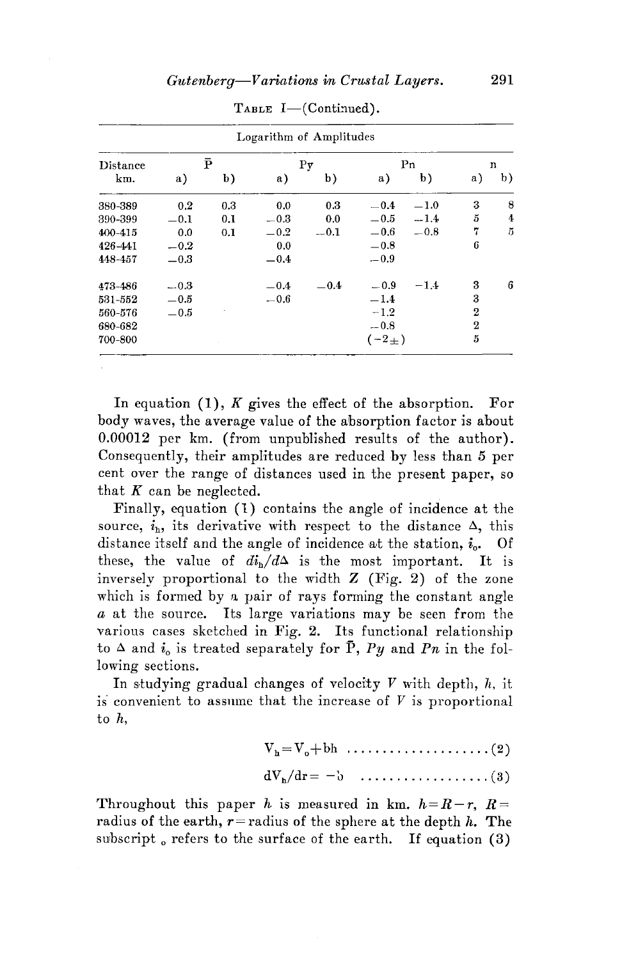|          |        |     | Logarithm of Amplitudes |             |              |                |              |    |
|----------|--------|-----|-------------------------|-------------|--------------|----------------|--------------|----|
| Distance | P      |     |                         | $_{\rm Py}$ |              | P <sub>n</sub> | n            |    |
| km.      | a)     | b)  | a)                      | b)          | a)           | b)             | a)           | b) |
| 380-389  | 0.2    | 0.3 | 0.0                     | 0.3         | $-0.4$       | $-1.0$         | 3            | 8  |
| 390-399  | $-0.1$ | 0.1 | $-0.3$                  | 0.0         | $-0.5$       | $-1.4$         | 5            | 4  |
| 400-415  | 0.0    | 0.1 | $-0.2$                  | $-0.1$      | $-0.6$       | $-0.8$         | 7            | 5  |
| 426-441  | $-0.2$ |     | 0.0                     |             | $-0.8$       |                | 6            |    |
| 448-457  | $-0.3$ |     | $-0.4$                  |             | $-0.9$       |                |              |    |
| 473-486  | $-0.3$ |     | $-0.4$                  | $-0.4$      | $-0.9$       | $-1.4$         | 3            | 6  |
| 531-552  | $-0.5$ |     | $-0.6$                  |             | $-1.4$       |                | 3            |    |
| 560-576  | $-0.5$ |     |                         |             | $-1.2$       |                | 2            |    |
| 680-682  |        |     |                         |             | $-0.8$       |                | $\mathbf{2}$ |    |
| 700-800  |        |     |                         |             | $(-2_{\pm})$ |                | 5            |    |

TABLE  $I$ —(Continued).

In equation  $(1)$ , *K* gives the effect of the absorption. For body waves, the average value of the absorption factor is about 0.00012 per km. (from unpublished results of the author). Consequently, their amplitudes are reduced by less than 5 per cent over the range of distances used in the present paper, so that  $K$  can be neglected.

Finally, equation (1) contains the angle of incidence at the source,  $i_h$ , its derivative with respect to the distance  $\Delta$ , this distance itself and the angle of incidence at the station,  $i_{0}$ . Of these, the value of  $di_h/d\Delta$  is the most important. It is inversely proportional to the width  $Z$  (Fig. 2) of the zone which is formed by a pair of rays forming the constant angle *a* at the source. Its large variations may he seen from the various cases sketched in Fig. 2. Its functional relationship to  $\Delta$  and  $i_0$  is treated separately for  $\bar{P}$ ,  $Py$  and  $Pn$  in the following sections.

In studying gradual changes of velocity  $V$  with depth,  $h$ , it is convenient to assume that the increase of  $V$  is proportional to h,

vh = vo+bh .................... (2)

$$
dV_h/dr = -b \quad \ldots \ldots \ldots \ldots \ldots \ldots (3)
$$

Throughout this paper *h* is measured in km.  $h=R-r$ ,  $R=$ radius of the earth,  $r$  = radius of the sphere at the depth  $h$ . The subscript  $_{0}$  refers to the surface of the earth. If equation (3)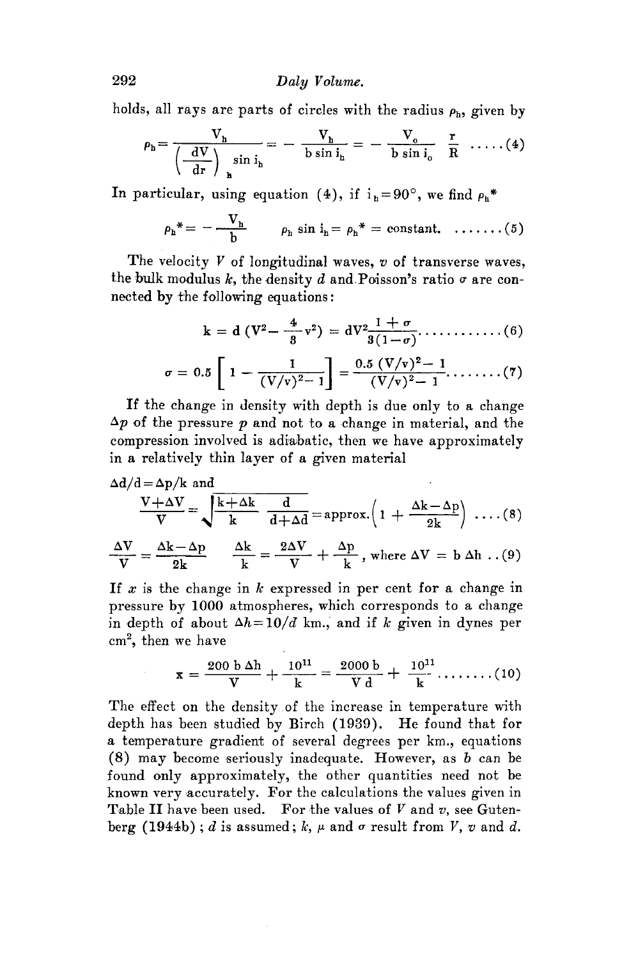holds, all rays are parts of circles with the radius  $\rho_h$ , given by

$$
\rho_h = \frac{V_h}{\left(\frac{dV}{dr}\right)_{h} \sin i_h} = -\frac{V_h}{b \sin i_h} = -\frac{V_o}{b \sin i_o} \frac{r}{R} \dots (4)
$$

In particular, using equation (4), if  $i<sub>b</sub>=90°$ , we find  $\rho<sub>b</sub>$ <sup>\*</sup>

$$
\rho_h^* = -\frac{V_h}{b} \qquad \rho_h \sin i_h = \rho_h^* = constant. \quad \ldots \ldots \ldots (5)
$$

The velocity *V* of longitudinal waves, *v* of transverse waves, the bulk modulus k, the density d and Poisson's ratio  $\sigma$  are connected by the following equations:

$$
k = d (V^{2} - \frac{4}{8}v^{2}) = dV^{2} \frac{1+\sigma}{3(1-\sigma)} \dots \dots \dots \dots (6)
$$

$$
\sigma = 0.5 \left[ 1 - \frac{1}{(V/v)^{2} - 1} \right] = \frac{0.5 (V/v)^{2} - 1}{(V/v)^{2} - 1} \dots \dots \dots (7)
$$

If the change in density with depth is due only to a change  $\Delta p$  of the pressure  $p$  and not to a change in material, and the compression involved is adiabatic, then we have approximately in a relatively thin layer of a given material

$$
\Delta d/d = \Delta p/k \text{ and}
$$
\n
$$
\frac{V + \Delta V}{V} = \sqrt{\frac{k + \Delta k}{k} \frac{d}{d + \Delta d}} = \text{approx.} \left( 1 + \frac{\Delta k - \Delta p}{2k} \right) \dots (8)
$$
\n
$$
\frac{\Delta V}{V} = \frac{\Delta k - \Delta p}{2k} \qquad \frac{\Delta k}{k} = \frac{2\Delta V}{V} + \frac{\Delta p}{k} \text{, where } \Delta V = \text{b } \Delta \text{h } \dots (9)
$$

If  $x$  is the change in  $k$  expressed in per cent for a change in pressure by 1000 atmospheres, which corresponds to a change in depth of about  $\Delta h = 10/d$  km., and if *k* given in dynes per cm2, then we have

$$
\mathbf{x} = \frac{200 \, \text{b} \, \Delta \mathbf{h}}{\mathbf{V}} + \frac{10^{11}}{\mathbf{k}} = \frac{2000 \, \text{b}}{\mathbf{V} \, \text{d}} + \frac{10^{11}}{\mathbf{k}} \dots \dots \dots (10)
$$

The effect on the density of the increase in temperature with depth has been studied by Birch (1939). He found that for a temperature gradient of several degrees per km., equations  $(8)$  may become seriously inadequate. However, as  $b$  can be found only approximately, the other quantities need not be known very accurately. For the calculations the values given in Table II have been used. For the values of V and *v,* see Gutenberg (1944b);  $d$  is assumed;  $k$ ,  $\mu$  and  $\sigma$  result from  $V$ ,  $v$  and  $d$ .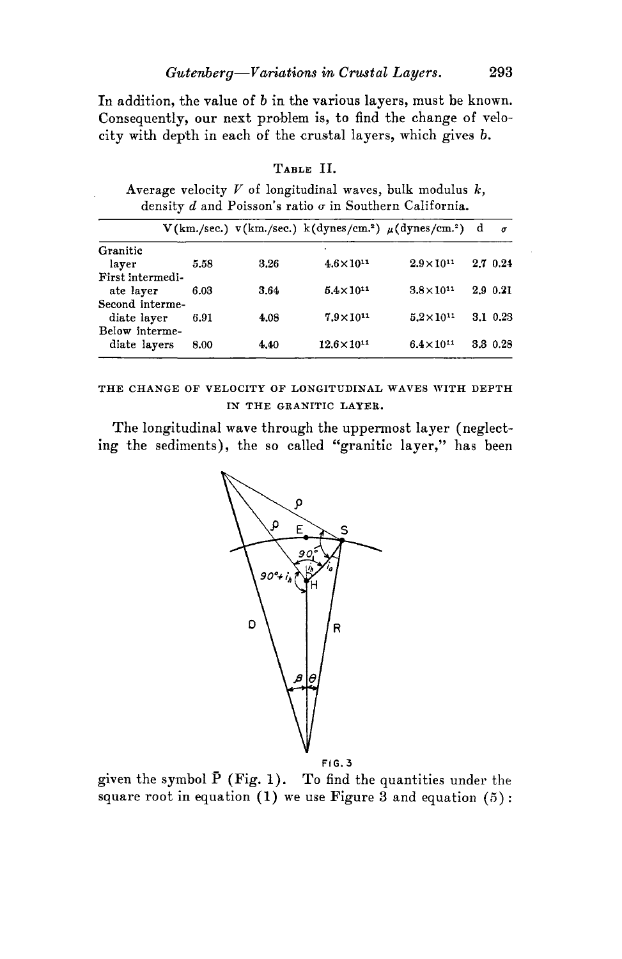In addition, the value of *b* in the various layers, must be known. Consequently, our next problem is, to find the change of velocity with depth in each of the crustal layers, which gives *b.* 

|                  |      |      |                       | $V(km./sec.)$ v(km./sec.) k(dynes/cm. <sup>2</sup> ) $\mu$ (dynes/cm. <sup>2</sup> ) d | $\sigma$ |
|------------------|------|------|-----------------------|----------------------------------------------------------------------------------------|----------|
| Granitic         |      |      |                       |                                                                                        |          |
| layer            | 5.58 | 3.26 | $4.6 \times 10^{11}$  | $2.9 \times 10^{11}$                                                                   | 2.7 0.24 |
| First intermedi- |      |      |                       |                                                                                        |          |
| ate layer        | 6.03 | 3.64 | $5.4 \times 10^{11}$  | $3.8 \times 10^{11}$                                                                   | 2.9 0.21 |
| Second interme-  |      |      |                       |                                                                                        |          |
| diate layer      | 6.91 | 4.08 | $7.9 \times 10^{11}$  | $5.2 \times 10^{11}$                                                                   | 3.1 0.23 |
| Below interme-   |      |      |                       |                                                                                        |          |
| diate layers     | 8.00 | 4.40 | $12.6 \times 10^{11}$ | $6.4 \times 10^{11}$                                                                   | 3.3 0.28 |

### TABLE II.

Average velocity  $V$  of longitudinal waves, bulk modulus  $k$ , density *d* and Poisson's ratio *a* in Southern California.

THE CHANGE OF VELOCITY OF LONGITUDINAL WAVES WITH DEPTH IN THE GRANITIC LAYER.

The longitudinal wave through the uppermost layer (neglecting the sediments), the so called "granitic layer," has been



FIG.3

given the symbol  $\bar{P}$  (Fig. 1). To find the quantities under the square root in equation  $(1)$  we use Figure 3 and equation  $(5)$ :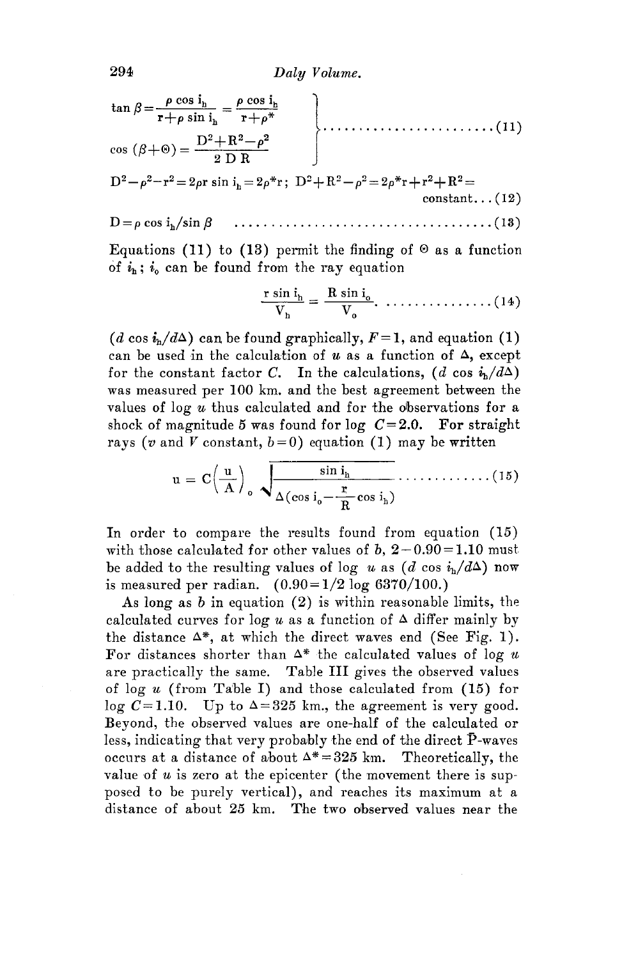$$
\tan \beta = \frac{\rho \cos i_h}{r + \rho \sin i_h} = \frac{\rho \cos i_h}{r + \rho^*}
$$
\n
$$
\cos (\beta + \Theta) = \frac{D^2 + R^2 - \rho^2}{2 D R}
$$
\n
$$
D^2 - \rho^2 - r^2 = 2\rho r \sin i_h = 2\rho^* r; \ D^2 + R^2 - \rho^2 = 2\rho^* r + r^2 + R^2 = \text{constant.} \tag{12}
$$

$$
D = \rho \cos i_{h} / \sin \beta \qquad \qquad \ldots \qquad \qquad \ldots \qquad \ldots \qquad \ldots \qquad (13)
$$

Equations (11) to (13) permit the finding of  $\Theta$  as a function of  $i_h$ ;  $i_o$  can be found from the ray equation

$$
\frac{\mathbf{r}\sin\mathbf{i}_{h}}{V_{h}} = \frac{\mathbf{R}\sin\mathbf{i}_{o}}{V_{o}}, \quad \dots \quad \dots \quad \dots \quad (14)
$$

(*d* cos  $i_h/d\Delta$ ) can be found graphically,  $F=1$ , and equation (1) can be used in the calculation of  $u$  as a function of  $\Delta$ , except for the constant factor C. In the calculations,  $(d \cos i_{\rm h}/d\Delta)$ . was measured per 100 km. and the best agreement between the values of  $\log u$  thus calculated and for the observations for a shock of magnitude 5 was found for log  $C=2.0$ . For straight rays (*v* and *V* constant,  $b=0$ ) equation (1) may be written

$$
u = C\left(\frac{u}{A}\right)_0, \sqrt{\frac{\sin i_h}{\Delta(\cos i_0 - \frac{r}{R}\cos i_h)}} \dots \dots \dots \dots \dots \dots (15)
$$

In order to compare the results found from equation (15) with those calculated for other values of b,  $2-0.90 = 1.10$  must. be added to the resulting values of log *u* as  $(d \cos i<sub>h</sub>/d\Delta)$  now is measured per radian.  $(0.90 = 1/2 \log 6370/100.)$ 

As long as *b* in equation (2) is within reasonable limits, the calculated curves for  $\log u$  as a function of  $\Delta$  differ mainly by the distance  $\Delta^*$ , at which the direct waves end (See Fig. 1). For distances shorter than  $\Delta^*$  the calculated values of log *u* are practically the same. Table III gives the observed values of log *u* (from Table I) and those calculated from (15) for log  $C = 1.10$ . Up to  $\Delta = 325$  km., the agreement is very good. Beyond, the observed values are one-half of the calculated or less, indicating that very probably the end of the direct  $\overline{P}$ -waves occurs at a distance of about  $\Delta^* = 325$  km. Theoretically, the value of *u* is zero at the epicenter ( the movement there is supposed to be purely vertical), and reaches its maximum at a distance of about 25 km. The two observed values near the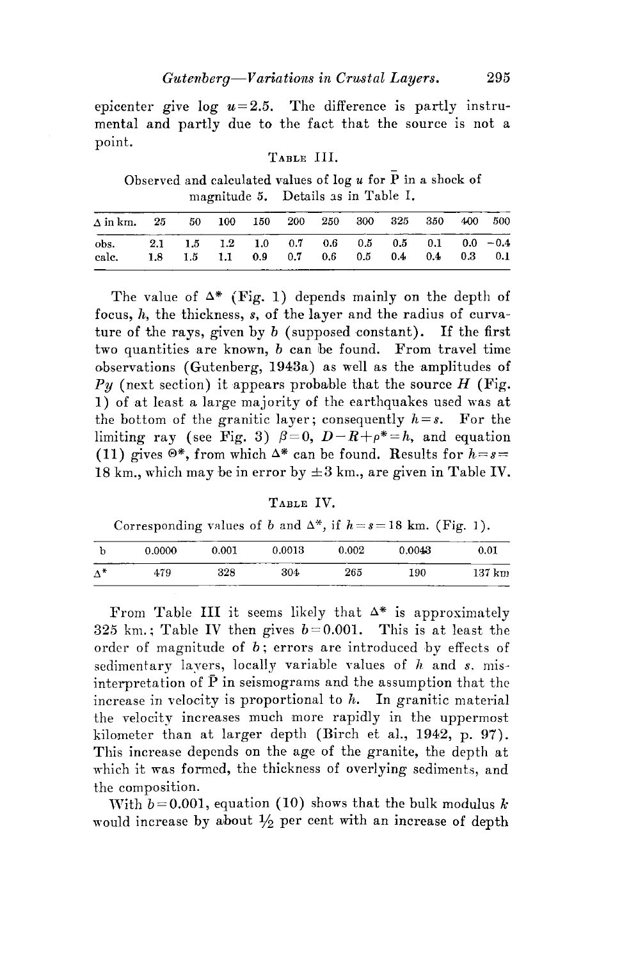epicenter give  $log u = 2.5$ . The difference is partly instrumental and partly due to the fact that the source is not a point.

## TABLE III.

Observed and calculated values of log  $u$  for  $\overline{P}$  in a shock of magnitude 5. Details as in Table I.

| $\Delta$ in km, 25 50 100 150 200 250 300 325 350 400 500    |                                             |  |  |  |  |  |
|--------------------------------------------------------------|---------------------------------------------|--|--|--|--|--|
| obs. 2.1 $1.5$ 1.2 1.0 0.7 0.6 0.5 0.5 0.1 0.0 -0.4<br>calc. | 1.8 1.5 1.1 0.9 0.7 0.6 0.5 0.4 0.4 0.3 0.1 |  |  |  |  |  |

The value of  $\Delta^*$  (Fig. 1) depends mainly on the depth of focus, h, the thickness, *s,* of the layer and the radius of curvature of the rays, given by *b* (supposed constant). If the first two quantities are known, *b* can be found. From travel time observations (Gutenberg, 1943a) as well as the amplitudes of  $Py$  (next section) it appears probable that the source  $H$  (Fig. 1) of at least a large majority of the earthquakes used was at the bottom of the granitic layer; consequently  $h = s$ . For the limiting ray (see Fig. 3)  $\beta=0$ ,  $D-R+p^*=h$ , and equation (11) gives  $\mathbb{O}^*$ , from which  $\Delta^*$  can be found. Results for  $h=s=$ 18 km., which may be in error by  $\pm 3$  km., are given in Table IV.

TABLE IV.

### Corresponding values of *b* and  $\Delta^*$ , if  $h=s=18$  km. (Fig. 1).

|             | 0.0000 | 0.001                                               | $_{0.0013}$ | 0.002 | 0.0043      | 0.01              |
|-------------|--------|-----------------------------------------------------|-------------|-------|-------------|-------------------|
| $\Lambda^*$ | 479    | 328<br><b><i><u>President Communication</u></i></b> | 304         | 265   | 190<br>____ | $137 \mathrm{km}$ |

From Table III it seems likely that  $\Delta^*$  is approximately 325 km.; Table IV then gives *b=0.001.* This is at least the order of magnitude of  $b$ ; errors are introduced by effects of sedimentary layers, locally variable values of h and *s,* misinterpretation of  $\bar{P}$  in seismograms and the assumption that the increase in velocity is proportional to  $h$ . In granitic material the velocity increases much more rapidly in the uppermost kilometer than at larger depth (Birch et al., 1942, p. 97). This increase depends on the age of the granite, the depth at which it was formed, the thickness of overlying sediments, and the composition.

With  $b=0.001$ , equation (10) shows that the bulk modulus k would increase by about  $\frac{1}{2}$  per cent with an increase of depth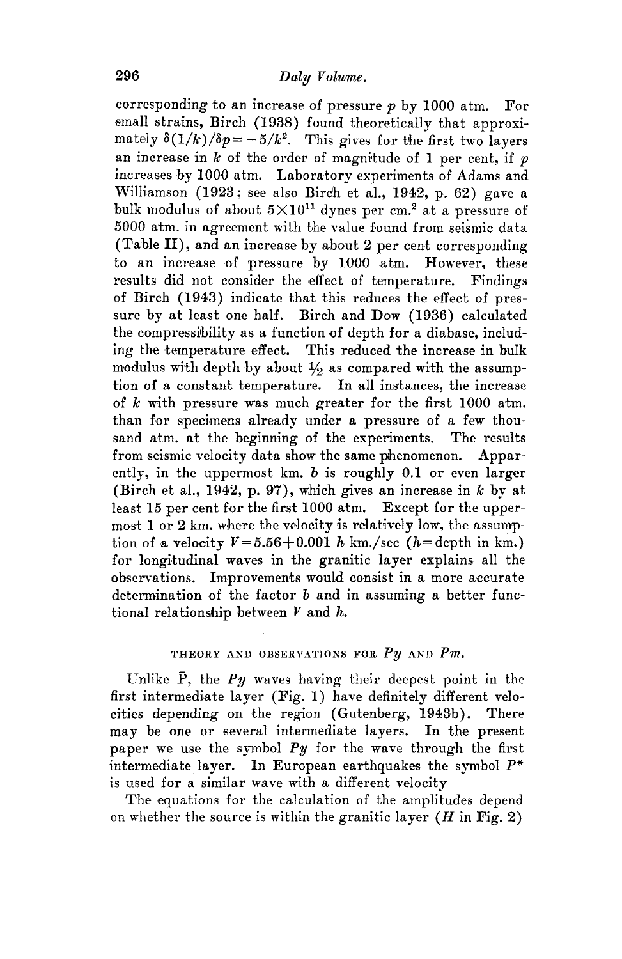corresponding to an increase of pressure *p* by 1000 atm. For small strains, Birch (1938) found theoretically that approximately  $\delta(1/k)/\delta p = -5/k^2$ . This gives for the first two layers an increase in  $k$  of the order of magnitude of 1 per cent, if  $p$ increases by 1000 atm. Laboratory experiments of Adams and Williamson (1923; see also Birch et al., 1942, p. 62) gave a bulk modulus of about  $5\times10^{11}$  dynes per cm.<sup>2</sup> at a pressure of  $5000$  atm. in agreement with the value found from seismic data (Table II), and an increase by about 2 per cent corresponding to an increase of pressure by 1000 atm. However, these results did not consider the effect of temperature. Findings of Birch (1943) indicate that this reduces the effect of pressure by at least one half. Birch and Dow (1936) calculated the compressibility as a function of depth for a diabase, including the temperature effect. This reduced the increase in bulk modulus with depth by about  $\frac{1}{6}$  as compared with the assumption of a constant temperature. In all instances, the increase of *k* with pressure was, much greater for the first 1000 atm. than for specimens already under a pressure of a few thousand atm. at the beginning of the experiments. The results from seismic velocity data show the same phenomenon. Apparently, in the uppermost km. *b* is roughly **0.1** or even larger (Birch et al., 1942, p. 97), which gives an increase in *k* by at least 15 per cent for the first 1000 atm. Except for the uppermost 1 or 2 km, where the velocity is relatively low, the assumption of a velocity  $V=5.56+0.001$  h km./sec (h=depth in km.) for longitudinal waves in the granitic layer explains all the observations. Improvements would consist in a more accurate determination of the factor *b* and in assuming a better functional relationship between  $V$  and  $h$ .

## THEORY AND OBSERVATIONS FOR *Py* AND *Pm.*

Unlike P, the *Py* waves having their deepest point in the first intermediate layer (Fig. 1) have definitely different velocities depending on the region (Gutenberg, 1943b). There may be one or several intermediate layers. In the present paper we use the symbol *Py* for the wave through the first intermediate layer. In European earthquakes the symbol *P\**  is used for a similar wave with a different velocity

The equations for the calculation of the amplitudes depend on whether the source is within the granitic layer  $(H \text{ in Fig. 2})$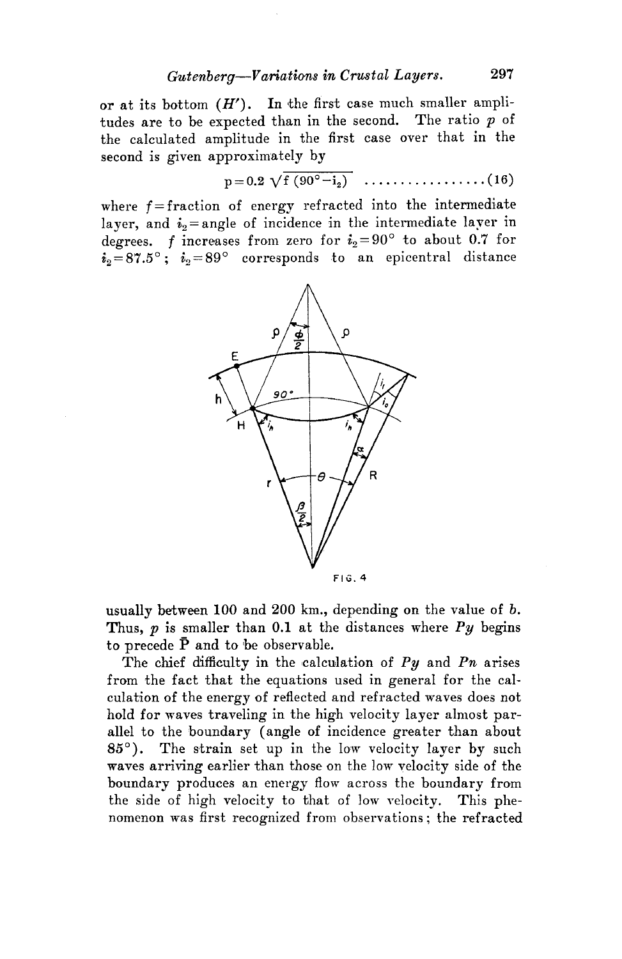or at its bottom  $(H')$ . In the first case much smaller amplitudes are to be expected than in the second. The ratio  $p$  of the calculated amplitude in the first case over that in the second is given approximately by

$$
p = 0.2 \sqrt{f(90^{\circ} - i_2)} \dots \dots \dots \dots \dots \dots (16)
$$

where  $f =$  fraction of energy refracted into the intermediate layer, and  $i_2$  = angle of incidence in the intermediate layer in degrees. f increases from zero for  $i_2 = 90^\circ$  to about 0.7 for  $i_2 = 87.5^\circ; i_2 = 89^\circ$  corresponds to an epicentral distance



usually between 100 and 200 km., depending on the value of *b.*  Thus,  $p$  is smaller than 0.1 at the distances where  $Py$  begins to precede  $\bar{P}$  and to be observable.

The chief difficulty in the calculation of  $Py$  and  $Ph$  arises from the fact that the equations used in general for the calculation of the energy of reflected and refracted waves does not hold for waves traveling in the high velocity layer almost parallel to the boundary ( angle of incidence greater than about 85°). The strain set up in the low velocity layer by such waves arriving earlier than those on the low velocity side of the boundary produces an energy flow across the boundary from the side of high velocity to that of low velocity. This phenomenon was first recognized from observations; the refracted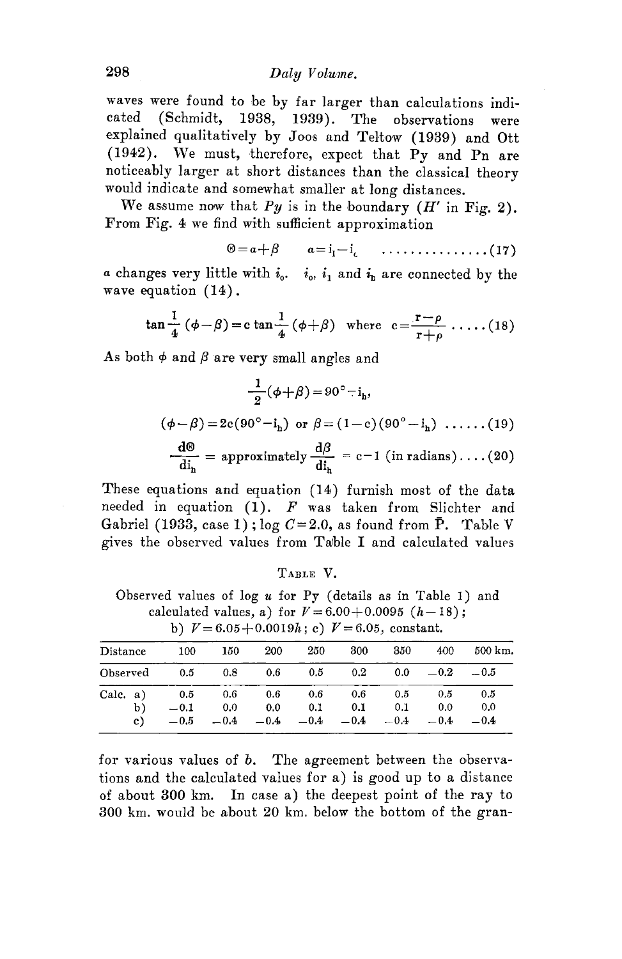waves were found to he by far larger than calculations indicated (Schmidt, 1938, 1939). The observations were explained qualitatively by Joos and Teltow (1939) and Ott  $(1942)$ . We must, therefore, expect that Py and Pn are noticeably larger at short distances than the classical theory would indicate and somewhat smaller at long distances.

We assume now that  $Py$  is in the boundary  $(H'$  in Fig. 2). From Fig. 4 we find with sufficient approximation

$$
\Theta = a + \beta \qquad a = i_1 - i_c \qquad \ldots \ldots \ldots \ldots \ldots \ldots (17)
$$

*a* changes very little with  $i_0$ .  $i_0$ ,  $i_1$  and  $i_1$  are connected by the wave equation (14).

$$
\tan \frac{1}{4} (\phi - \beta) = c \tan \frac{1}{4} (\phi + \beta) \quad \text{where} \quad c = \frac{r - \rho}{r + \rho} \dots (18)
$$

As both  $\phi$  and  $\beta$  are very small angles and

$$
\frac{1}{2}(\phi+\beta) = 90^\circ - i_h,
$$
  
\n
$$
(\phi-\beta) = 2c(90^\circ - i_h) \text{ or } \beta = (1-c)(90^\circ - i_h) \dots (19)
$$
  
\n
$$
\frac{d\Theta}{di_h} = \text{approximately } \frac{d\beta}{di_h} = c-1 \text{ (in radians)} \dots (20)
$$

These equations and equation (14) furnish most of the data needed in equation (1). *F* was taken from Slichter and Gabriel (1933, case 1);  $log C=2.0$ , as found from P. Table V gives the observed values from Table I and calculated values

|  | A R L E |  |
|--|---------|--|
|--|---------|--|

Observed values of log *u* for Py ( details as in Table I) and calculated values, a) for  $V=6.00+0.0095$   $(h-18)$ ; b)  $V=6.05+0.0019h$ ; *c*)  $V=6.05$  constant.

|          |    |        |        |         |     |                  | $U_1$ $V = 0.001$ covered in $U_1$ $V = 0.001$ , combinants |              |         |
|----------|----|--------|--------|---------|-----|------------------|-------------------------------------------------------------|--------------|---------|
| Distance |    | 100    | 150    | 200     | 250 | 300              | 350                                                         | 400          | 500 km. |
| Observed |    | - 0.5  | 0.8    | 0.6     | 0.5 | 0.2 <sub>1</sub> | 0.0                                                         | $-0.2$       | $-0.5$  |
| Calc, a) |    | 0.5    | - 0.6  | $0.6\,$ | 0.6 | 0.6              | 0.5                                                         | 0.5          | 0.5     |
|          | b) | $-0.1$ | 0.0    | 0.0     | 0.1 | 0.1              | 0.1                                                         | 0.0          | 0.0     |
|          | c) | $-0.5$ | $-0.4$ | $-0.4$  |     |                  | $-0.4$ $-0.4$ $-0.4$                                        | $-0.4 - 0.4$ |         |

for various values of *b*. The agreement between the observations and the calculated values for a) is good up to a distance of about 300 km. In case a) the deepest point of the ray to 300 km. would be about 20 km. below the bottom of the gran-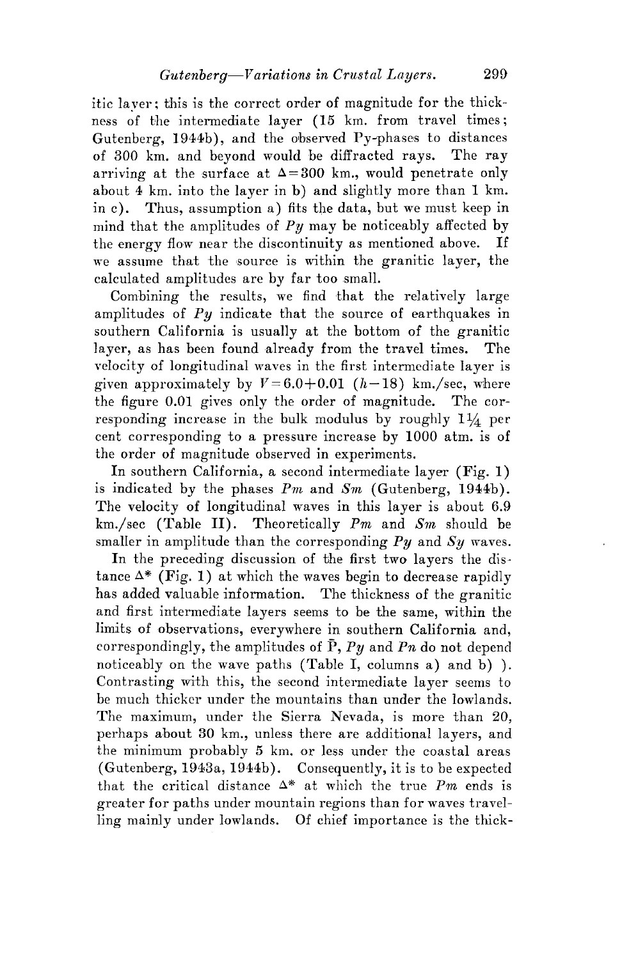itic laver; this is the correct order of magnitude for the thickness of the intermediate layer (15 km. from travel times; Gutenberg, 1944b), and the observed Py-phases to distances of 300 km. and beyond would be diffracted rays. The ray arriving at the surface at  $\Delta=300$  km., would penetrate only about 4 km. into the layer in b) and slightly more than **1** km. in c). Thus, assumption a) fits the data, but we must keep **in**  mind that the amplitudes of  $Py$  may be noticeably affected by the energy flow near the discontinuity as mentioned above. If we assume that the source is within the granitic layer, the calculated amplitudes are by far too small.

Combining the results, we find that the relatively large amplitudes of *Py* indicate that the source of earthquakes in southern California is usually at the bottom of the granitic layer, as has been found already from the travel times. The velocity of longitudinal waves in the first intermediate layer is given approximately by  $V=6.0+0.01$   $(h-18)$  km./sec, where the figure 0.01 gives only the order of magnitude. The corresponding increase in the bulk modulus by roughly  $1\frac{1}{4}$  per cent corresponding to a pressure increase by 1000 atm. is of the order of magnitude observed in experiments.

In southern California, a second intermediate layer (Fig. 1) is indicated by the phases *Pm* and *Sm* (Gutenberg, 1944b). The velocity of longitudinal waves in this layer is about 6.9 km./sec (Table 11). Theoretically *Pm* and *Sm* should be smaller in amplitude than the corresponding *Py* and *Sy* waves.

In the preceding discussion of the first two layers the distance  $\Delta^*$  (Fig. 1) at which the waves begin to decrease rapidly has added valuable information. The thickness of the granitic and first intermediate lavers seems to be the same, within the limits of observations, everywhere in southern California and, correspondingly, the amplitudes of P, *Py* and *Pn* do not depend noticeably on the wave paths (Table I, columns a) and b) ). Contrasting with this, the second intermediate layer seems to be much thicker under the mountains than under the lowlands. The maximum, under the Sierra Nevada, is more than 20, perhaps about 30 km., unless there are additional layers, and the minimum probably 5 km. or less under the coastal areas (Gutenberg, 1943a, 1944b). Consequently, it is to be expected that the critical distance  $\Delta^*$  at which the true Pm ends is greater for paths under mountain regions than for waves travelling mainly under lowlands. Of chief importance is the thick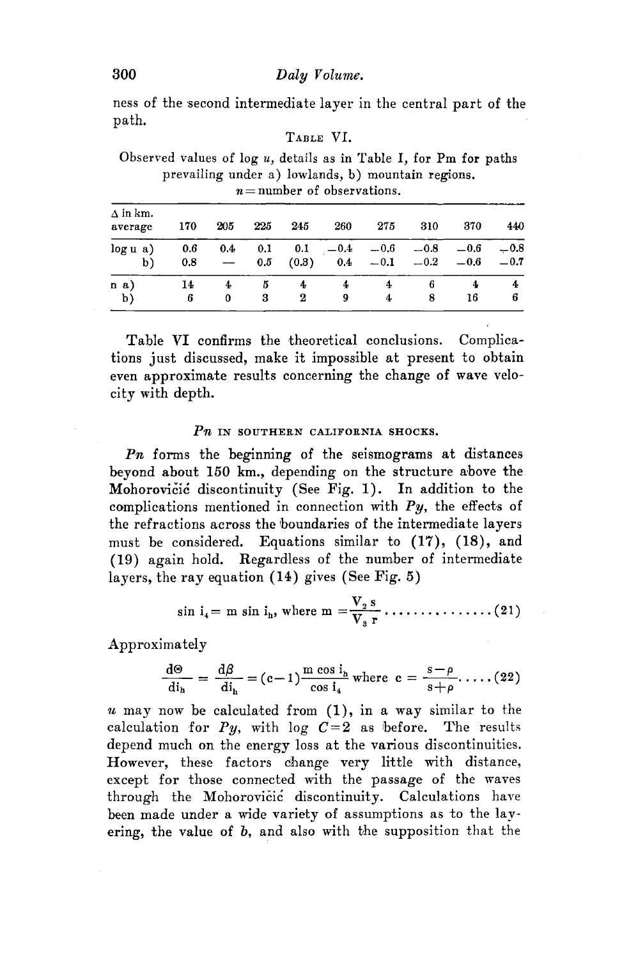ness of the second intermediate layer in the central part of the path.

## TABLE VI.

Observed values of log *u,* details as in Table I, for Pm for paths prevailing under a) lowlands, b) mountain regions.  $n =$  number of observations.

| $\Delta$ in km.<br>average | 170        | 205    | 225             | 245          | 260           | 275              | 310              | 370              | 440              |
|----------------------------|------------|--------|-----------------|--------------|---------------|------------------|------------------|------------------|------------------|
| log u a)<br>b)             | 0.6<br>0.8 | 0.4    | 0,1<br>$_{0.5}$ | 0.1<br>(0.3) | $-0.4$<br>0.4 | $-0.6$<br>$-0.1$ | $-0.8$<br>$-0.2$ | $-0.6$<br>$-0.6$ | $-0.8$<br>$-0.7$ |
| n a)<br>b)                 | 14<br>6    | 4<br>0 | Б<br>3          | 4<br>2       | 9             | 4                | 6<br>8           | 4<br>16          | 4<br>6           |

Table VI confirms the theoretical conclusions. Complications just discussed, make it impossible at present to obtain even approximate results concerning the change of wave velocity with depth.

## Pn IN SOUTHERN CALIFORNIA SHOCKS.

Pn forms the beginning of the seismograms at distances beyond about 150 km., depending on the structure above the Mohorovicic discontinuity (See Fig. 1). In addition to the complications mentioned in connection with  $Py$ , the effects of the refractions across the boundaries of the intermediate layers must be considered. Equations similar to (17), (18), and (19) again hold. Regardless of the number of intermediate .... l V2s (21) sin 14 = ill sin lh, W 1ere ill = -v • • • • , • • • • • • • • • • s r layers, the ray equation (14) gives (See Fig. 5)

Approximately

$$
\frac{d\Theta}{di_h} = \frac{d\beta}{di_h} = (c-1)\frac{m \cos i_h}{\cos i_4} \text{ where } c = \frac{s-\rho}{s+\rho}. \dots (22)
$$

*11,* may now be calculated from **(1),** in a way similar to the calculation for  $Py$ , with log  $C=2$  as before. The results depend much on the energy loss at the various discontinuities. However, these factors change very little with distance, except for those connected with the passage of the waves through the Mohorovicic discontinuity. Calculations have been made under a wide variety of assumptions as to the layering, the value of b, and also with the supposition that the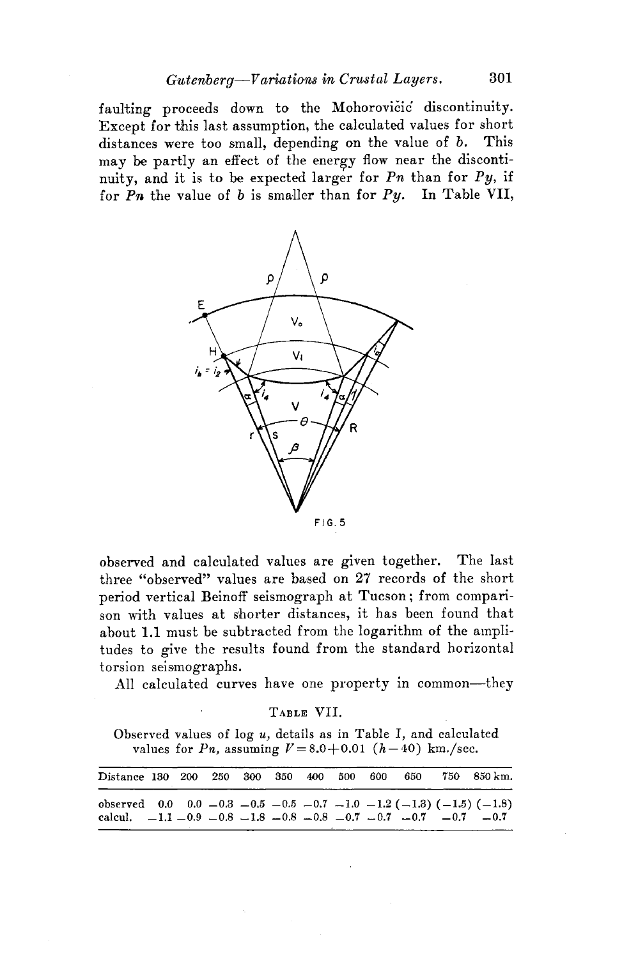faulting proceeds down to the Mohorovicic discontinuity. Except for this last assumption, the calculated values for short distances were too small, depending on the value of *b.* This may be partly an effect of the energy flow near the discontinuity, and it is to be expected larger for  $P_n$  than for  $Py$ , if for  $P_n$  the value of b is smaller than for  $Py$ . In Table VII,



observed and calculated values are given together. The last three "observed" values are based on 27 records of the short period vertical Beinoff seismograph at Tucson; from comparison with values at shorter distances, it has been found that about 1.1 must be subtracted from the logarithm of the amplitudes to give the results found from the standard horizontal torsion seismographs.

All calculated curves have one property in common-they

TABLE VII.

Observed values of log *u,* details as in Table I, and calculated values for *Pn*, assuming  $V = 8.0 + 0.01$  (h-40) km./sec.

| Distance 130 200 250 300 350 400 500 600 650                                     |  |  |  |  |  | 750 850 km. |
|----------------------------------------------------------------------------------|--|--|--|--|--|-------------|
| observed 0.0 0.0 -0.3 -0.5 -0.5 -0.7 -1.0 -1.2 (-1.3) (-1.5) (-1.8)              |  |  |  |  |  |             |
| calcul, $-1.1 - 0.9 - 0.8 - 1.8 - 0.8 - 0.8 - 0.7 - 0.7 - 0.7 - 0.7 - 0.7 - 0.7$ |  |  |  |  |  |             |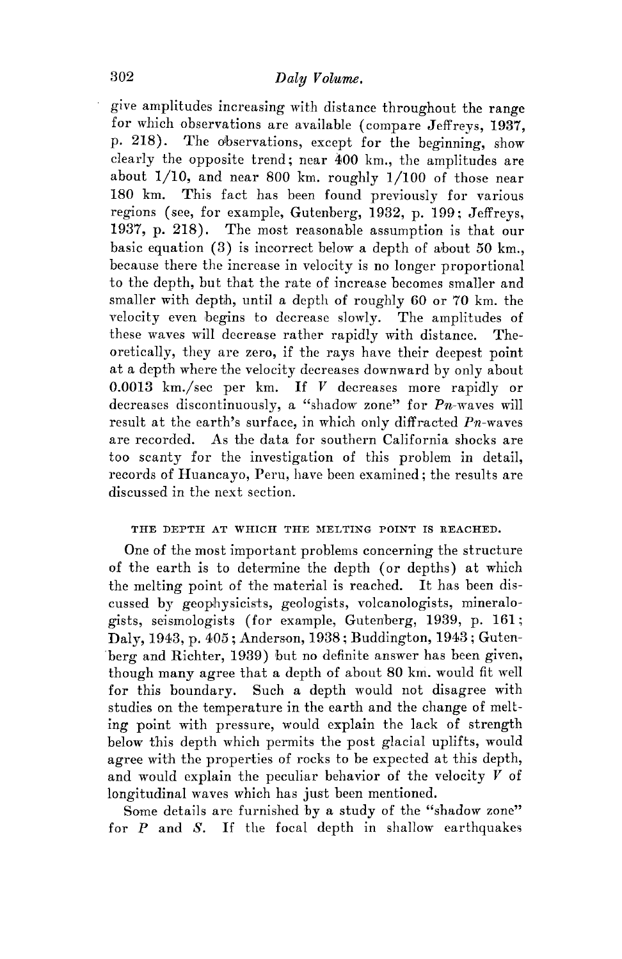give amplitudes increasing with distance throughout the range for which observations are available ( compare Jeffreys, 1937, p. 218). The olbservations, except for the beginning, show clearly the opposite trend; near 400 km., the amplitudes are about  $1/10$ , and near 800 km. roughly  $1/100$  of those near  $180 \text{ km}$ . This fact has been found previously for various This fact has been found previously for various regions (see, for example, Gutenberg, 1932, p. 199; Jeffreys, 1937, p. 218). The most reasonable assumption is that our basic equation (3) is incorrect below a depth of about *50* km., because there the increase in velocity is no longer proportional to the depth, but that the rate of increase becomes smaller and smaller with depth, until a depth of roughly 60 or 70 km. the velocity even begins to decrease slowly. The amplitudes of these waves will decrease rather rapidly with distance. Theoretically, they are zero, if the rays have their deepest point at a depth where the velocity decreases downward by only about 0.0013 km./sec per km. If *V* decreases more rapidly or decreases discontinuously, a "shadow zone" for  $P_n$ -waves will result at the earth's surface, in which only diffracted  $Pn$ -waves are recorded. As the data for southern California shocks are too scanty for the investigation of this problem in detail, records of Huancayo, Peru, have been examined; the results are discussed in the next section.

### THE DEPTH AT WHICH THE MELTING POINT IS REACHED,

One of the most important problems concerning the structure of the earth is to determine the depth ( or depths) at which the melting point of the material is reached. It has been discussed by geophysicists, geologists, volcanologists, mineralogists, seismologists (for example, Gutenberg, 1939, p. 161; Daly, 1943, p. 405; Anderson, 1938; Buddington, 1943; Guten- 'berg and Richter, 1939) but no definite answer has been given, though many agree that a depth of about 80 km. would fit well for this boundary. Such a depth would not disagree with studies on the temperature in the earth and the change of melting point with pressure, would explain the lack of strength below this depth which permits the post glacial uplifts, would agree with the properties of rocks to be expected at this depth, and would explain the peculiar behavior of the velocity *V* of longitudinal waves which has just been mentioned.

Some details are furnished by a study of the "shadow zone" for *P* and *S.* If the focal depth in shallow earthquakes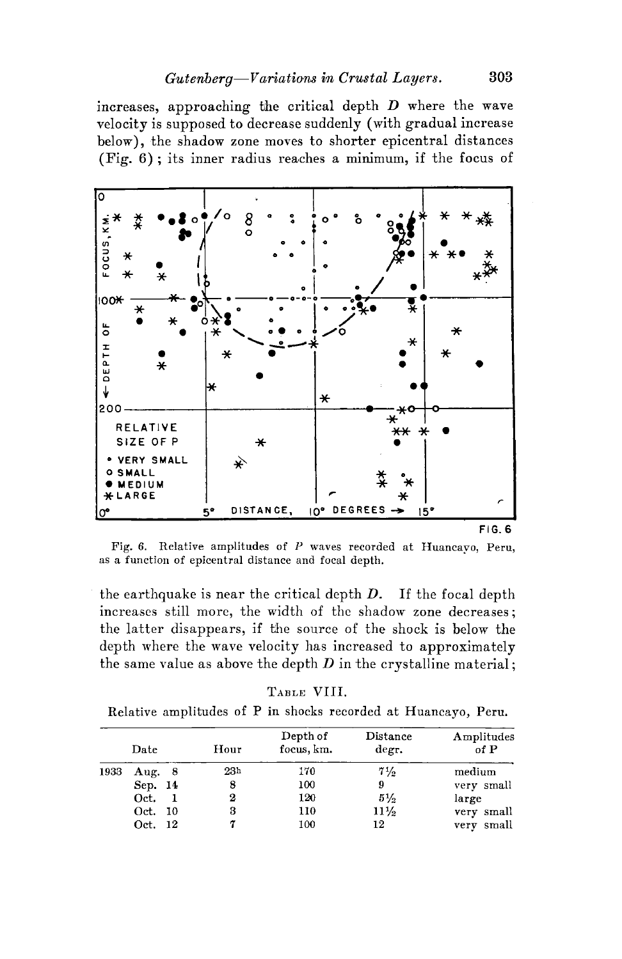increases, approaching the critical depth *D* where the wave velocity is supposed to decrease suddenly (with gradual increase below), the shadow zone moves to shorter epicentral distances (Fig.  $6$ ); its inner radius reaches a minimum, if the focus of



Fig. 6. Relative amplitudes of *P* waves recorded at Huancayo, Peru, as a function of epicentral distance and focal depth.

the earthquake is near the critical depth *D.* If the focal depth increases still more, the width of the shadow zone decreases; the latter disappears, if the source of the shock is below the depth where the wave velocity has increased to approximately the same value as above the depth  $D$  in the crystalline material;

| RT.E |  |
|------|--|
|------|--|

| Relative amplitudes of P in shocks recorded at Huancayo, Peru. |  |  |  |  |  |  |  |  |
|----------------------------------------------------------------|--|--|--|--|--|--|--|--|
|----------------------------------------------------------------|--|--|--|--|--|--|--|--|

|      | Date     | Hour            | Depth of<br>focus, km. | Distance<br>degr. | Amplitudes<br>of P |  |  |  |
|------|----------|-----------------|------------------------|-------------------|--------------------|--|--|--|
| 1933 | Aug. $8$ | 23 <sub>h</sub> | 170                    | $7\frac{1}{2}$    | medium             |  |  |  |
|      | Sep. 14  | 8               | 100                    | 9                 | very small         |  |  |  |
|      | Oct.     | 2               | 120                    | $5\frac{1}{2}$    | large              |  |  |  |
|      | Oct. 10  | 3               | 110                    | $11\frac{1}{2}$   | very small         |  |  |  |
|      | Oct. 12  |                 | 100                    | 12                | very small         |  |  |  |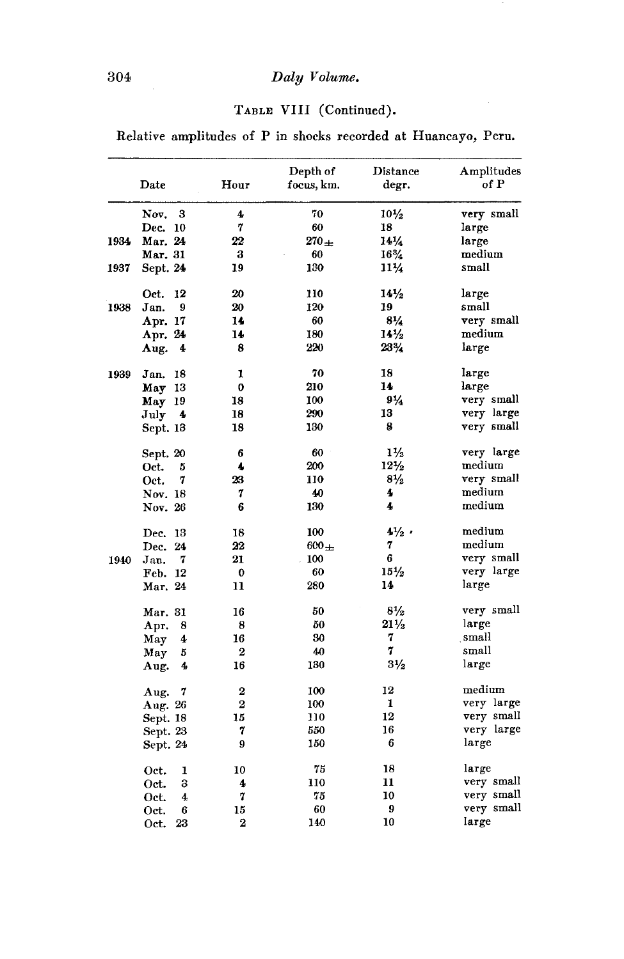# 304 *Daly Volume.*

# TABLE VIII (Continued).

Relative amplitudes of P in shocks recorded at Huancayo, Peru.

|      | Date              | Hour           | Depth of<br>focus, km. | Distance<br>degr. | Amplitudes<br>of P |
|------|-------------------|----------------|------------------------|-------------------|--------------------|
|      | Nov.<br>3         | 4              | 70                     | $10\frac{1}{2}$   | very small         |
|      | Dec.<br><b>10</b> | 7              | 60                     | 18                | large              |
| 1934 | Mar. 24           | 22             | $270 \pm$              | $14\frac{1}{4}$   | large              |
|      | Mar. 31           | 3              | 60                     | $16\%$            | medium             |
| 1937 | Sept. 24          | 19             | 130                    | $11\frac{1}{4}$   | small              |
|      | Oct.<br>12        | 20             | 110                    | $14\frac{1}{2}$   | large              |
| 1938 | 9<br>Jan.         | 20             | 120                    | 19                | small              |
|      | Apr. 17           | 14             | 60                     | $8\frac{1}{4}$    | very small         |
|      | Apr. 24           | 14             | 180                    | $14\frac{1}{2}$   | medium             |
|      | Aug.<br>4         | 8              | 220                    | 23%               | large              |
| 1939 | 18<br>Jan.        | 1              | 70                     | 18                | large              |
|      | May 13            | 0              | 210                    | 14                | large              |
|      | May 19            | 18             | 100                    | $9\frac{1}{4}$    | very small         |
|      | July<br>4         | 18             | 290                    | 13                | very large         |
|      | Sept. 13          | 18             | 130                    | 8                 | very small         |
|      | Sept. 20          | 6              | 60                     | $1\frac{1}{2}$    | very large         |
|      | Oct.<br>5         | 4              | 200                    | $12\frac{1}{2}$   | medium             |
|      | 7<br>Oct.         | 23             | 110                    | $8\frac{1}{2}$    | very small         |
|      | Nov. 18           | 7              | 40                     | 4                 | medium             |
|      | Nov. 26           | 6              | 130                    | 4                 | medium             |
|      | Dec.<br>13        | 18             | 100                    | $4\frac{1}{2}$    | medium             |
|      | 24<br>Dec.        | 22             | $600 +$                | 7                 | medium             |
| 1940 | 7<br>Jan.         | 21             | 100                    | 6                 | very small         |
|      | Feb. 12           | $\bf{0}$       | 60                     | $15\frac{1}{2}$   | very large         |
|      | Mar. 24           | 11             | 280                    | 14                | large              |
|      | Mar. 31           | 16             | 50                     | $8\frac{1}{2}$    | very small         |
|      | Apr.<br>8         | 8              | 50                     | $21\frac{1}{2}$   | large              |
|      | 4<br>May          | 16             | 30                     | 7                 | small              |
|      | May<br>5          | $\overline{2}$ | 40                     | 7                 | small              |
|      | 4<br>Aug.         | 16             | 130                    | $3\frac{1}{2}$    | large              |
|      | 7<br>Aug.         | 2              | 100                    | 12                | medium             |
|      | Aug. 26           | $\overline{2}$ | 100                    | 1                 | very large         |
|      | Sept. 18          | 15             | 110                    | 12                | very small         |
|      | Sept. 23          | 7              | 550                    | 16                | very large         |
|      | Sept. 24          | 9              | 150                    | 6                 | large              |
|      | Oct.<br>1         | 10             | 75                     | 18                | large              |
|      | 3<br>Oct.         | 4              | 110                    | 11                | very small         |
|      | 4<br>Oct.         | 7              | 75                     | 10                | very small         |
|      | 6<br>Oct.         | 15             | 60                     | 9                 | very small         |
|      | 23<br>Oct.        | $\overline{2}$ | 140                    | 10                | large              |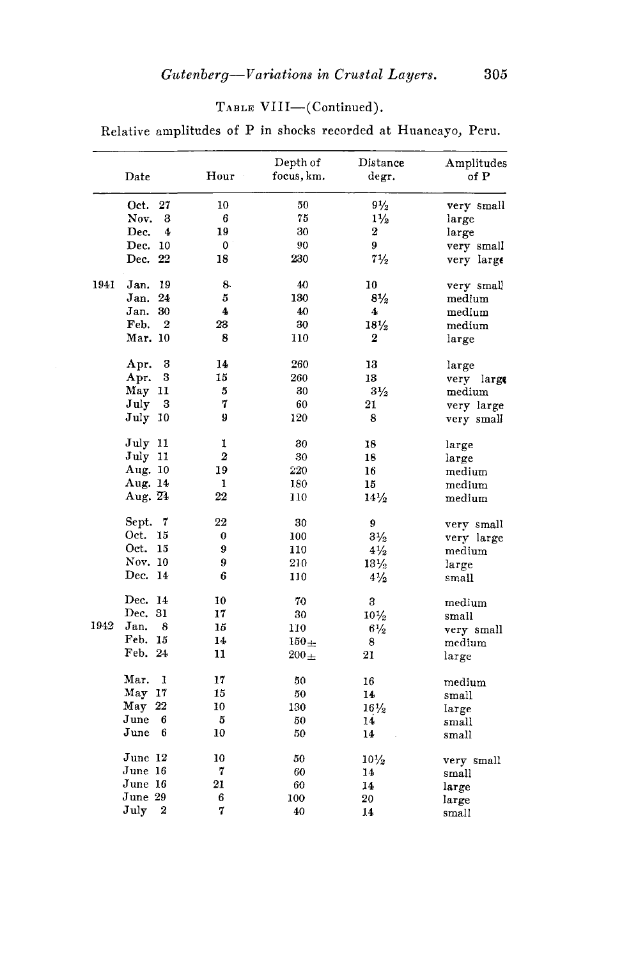## TABLE VIII-(Continued).

Relative amplitudes of P in shocks recorded at Huancayo, Peru.

|      | Date                 | Hour<br>$\bar{\gamma}$ | Depth of<br>focus, km. | Distance<br>degr. | Amplitudes<br>of P |
|------|----------------------|------------------------|------------------------|-------------------|--------------------|
|      | Oct.<br>27           | 10                     | 50                     | $9\frac{1}{2}$    | very small         |
|      | Nov.<br>3            | 6                      | 75                     | $1\frac{1}{2}$    | large              |
|      | Dec.<br>4            | 19                     | 30                     | $\boldsymbol{2}$  | large              |
|      | 10<br>Dec.           | 0                      | 90                     | 9                 | very small         |
|      | Dec. 22              | 18                     | 230                    | $7\frac{1}{2}$    | very large         |
| 1941 | 19<br>Jan.           | 8.                     | 40                     | 10                | very small         |
|      | Jan.<br>24           | 5                      | 130                    | $8\frac{1}{2}$    | medium             |
|      | Jan.<br>30           | 4                      | 40                     | 4                 | $_{\rm medium}$    |
|      | 2<br>Feb.            | 23                     | 30                     | $18\frac{1}{2}$   | $_{\rm medium}$    |
|      | Mar. 10              | 8                      | 110                    | 2                 | large              |
|      | 3<br>Apr.            | 14                     | 260                    | 13                | large              |
|      | 3<br>Apr.            | 15                     | 260                    | 13                | very large         |
|      | May<br>11            | 5                      | 30                     | $3\frac{1}{2}$    | medium             |
|      | 3<br>July            | 7                      | 60                     | 21                | very large         |
|      | $_{\rm July}$<br>-10 | 9                      | 120                    | 8                 | very small         |
|      | July 11              | 1                      | 30                     | 18                | large              |
|      | July 11              | $\overline{2}$         | 30                     | 18                | large              |
|      | Aug. 10              | 19                     | 220                    | 16                | medium             |
|      | Aug. 14              | 1                      | 180                    | 15                | medium             |
|      | Aug. 24              | 22                     | 110                    | $14\frac{1}{2}$   | medium             |
|      | Sept.<br>7           | 22                     | 30                     | 9                 | very small         |
|      | Oct.<br>15           | 0                      | 100                    | $3\frac{1}{2}$    | very large         |
|      | Oct.<br>15           | 9                      | 110                    | $4\frac{1}{2}$    | medium             |
|      | Nov. 10              | 9                      | 210                    | $13\frac{1}{2}$   | large              |
|      | Dec.<br>-14          | 6                      | 110                    | $4\frac{1}{2}$    | small              |
|      | Dec. 14              | 10                     | 70                     | 3                 | medium             |
|      | Dec. 31              | 17                     | 30                     | $10\frac{1}{2}$   | small              |
| 1942 | Jan.<br>8            | 15                     | 110                    | $6\frac{1}{2}$    | very small         |
|      | Feb. 15              | 14                     | $150+$                 | 8                 | medium             |
|      | Feb. 24              | 11                     | $200\pm$               | 21                | large              |
|      | Mar.<br>1            | 17                     | 50                     | 16                | medium             |
|      | May 17               | 15                     | 50                     | 14                | small              |
|      | $\text{May}$ 22      | 10                     | 130                    | $16\frac{1}{2}$   | large              |
|      | June<br>6            | 5                      | 50                     | 14                | small              |
|      | $\bold{June}$<br>6   | 10                     | 50                     | 14                | small              |
|      | June 12              | 10                     | 50                     | $10\frac{1}{2}$   | very small         |
|      | June 16              | 7                      | 60                     | 14                | small              |
|      | June 16              | 21                     | 60                     | 14                | large              |
|      | June 29              | 6                      | 100                    | 20                | large              |
|      | 2<br>July            | 7                      | 40                     | 14                | small              |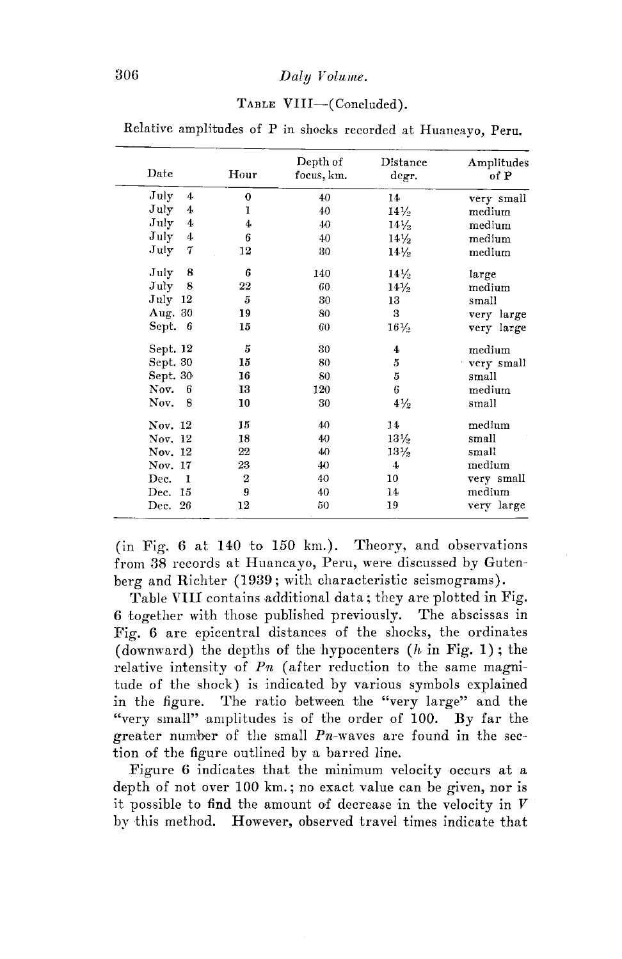## 306 *Daly Volume.*

#### TABLE VIII-(Concluded).

| Date                   | Hour           | Depth of<br>focus, km. | Distance<br>degr.     | Amplitudes<br>of P<br>very small |  |  |
|------------------------|----------------|------------------------|-----------------------|----------------------------------|--|--|
| July<br>$4\phantom{1}$ | 0              | 40                     | 14                    |                                  |  |  |
| July<br>4              | 1              | 40                     | $14\frac{1}{2}$       | medium                           |  |  |
| July<br>4              | 4              | 40                     | $14\frac{1}{2}$       | medium                           |  |  |
| July<br>4              | 6              | 40                     | $14\frac{1}{2}$       | medium                           |  |  |
| July<br>7              | 12             | 80                     | $14\frac{1}{2}$       | medium                           |  |  |
| July<br>8              | 6              | 140                    | $14\frac{1}{2}$       | large                            |  |  |
| 8<br>July              | 22             |                        | 60<br>$14\frac{1}{2}$ |                                  |  |  |
| July<br>12             | $\overline{5}$ | 30                     | 13                    | small                            |  |  |
| Aug. 30                | 19             | 80                     | 3                     | very large                       |  |  |
| Sept.<br>-6            | 15             | 60                     | $16\frac{1}{2}$       | very large                       |  |  |
| Sept. 12               | 5              | 30                     | $\boldsymbol{4}$      | medium                           |  |  |
| Sept. 30               | 15             | 80                     | 5                     | very small                       |  |  |
| Sept. 30               | 16             | S <sub>0</sub>         | 5                     | small                            |  |  |
| Nov.<br>6              | 13             | 120                    | 6                     | medium                           |  |  |
| 8<br>Nov.              | 10             | 30                     | $4\frac{1}{2}$        | small                            |  |  |
| Nov. 12                | 15             | 40                     | 14                    | medium                           |  |  |
| Nov. 12                | 18             | 40                     | $13\frac{1}{2}$       | small                            |  |  |
| Nov. 12                | 22             | 40                     | $13\frac{1}{2}$       | small                            |  |  |
| Nov. 17                | 23             | 40                     | 4                     | medium                           |  |  |
| Dec.<br>$\blacksquare$ | $\bf 2$        | 40                     | 10                    | very small                       |  |  |
| Dec.<br>-15            | 9              | 40                     | 14                    | medium                           |  |  |
| Dec. 26                | 12             | 50                     | 19                    | very large                       |  |  |

Relative amplitudes of P in shocks recorded at Huancayo, Peru.

(in Fig. 6 at 140 to 150 km.). Theory, and observations from 38 records at Huancayo, Peru, were discussed by Gutenberg and Richter (1939; with characteristic seismograms).

Table VIII contains additional data; they are plotted in Fig. 6 together with those published previously. The abscissas in Fig. 6 are epicentral distances of the shocks, the ordinates (downward) the depths of the hypocenters  $(h \text{ in Fig. 1})$ ; the relative intensity of  $Pn$  (after reduction to the same magnitude of the shock) is indicated by various symbols explained in the figure. The ratio between the "very large" and the "very small" amplitudes is of the order of 100. By far the greater numiber of the small *Pn~waves* are found in the section of the figure outlined by a barred line.

Figure 6 indicates that the minimum velocity occurs at a depth of not over 100 km.; no exact value can be given, nor is it possible to find the amount of decrease in the velocity in  $V$ by this method. However, observed travel times indicate that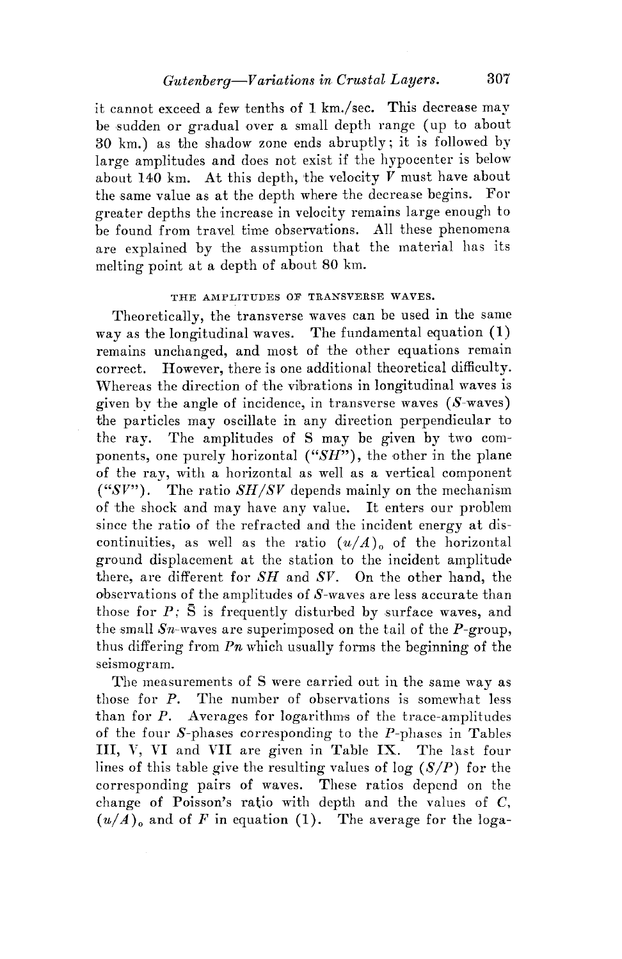it cannot exceed a few tenths of 1 km./sec. This decrease may be sudden or gradual over a small depth range (up to about 30 km.) as the shadow zone ends abruptly; it is followed by large amplitudes and does not exist if the hypocenter is below about 140 km. At this depth, the velocity  $V$  must have about the same value as at the depth where the decrease begins. For greater depths the increase in velocity remains large enough to be found from travel time observations. All these phenomena are explained by the assumption that the material has its melting point at a depth of about 80 km.

#### THE AMPLITUDES OF TRANSVERSE WAVES.

Theoretically, the transverse waves can be used in the same way as the longitudinal waves. The fundamental equation (1) remains unchanged, and most of the other equations remain correct. However, there is one additional theoretical difficulty. Whereas the direction of the vilbrations in longitudinal waves is given by the angle of incidence, in transverse waves  $(S$ -waves) the particles may oscillate in any direction perpendicular to the ray. The amplitudes of S may be given by two components, one purely horizontal *("SH"),* the other in the plane of the ray, with a horizontal as well as a vertical component *("SV").* The ratio *SH/SV* depends mainly on the mechanism of the shock and may have any value. It enters our problem since the ratio of the refracted and the incident energy at discontinuities, as well as the ratio  $(u/A)$  of the horizontal ground displacement at the station to the incident amplitude there, are different for *SH* and *SV.* On the other hand, the observations of the amplitudes of S-waves are less accurate than those for  $P$ ;  $\bar{S}$  is frequently disturbed by surface waves, and the small  $Sn$ -waves are superimposed on the tail of the  $P$ -group, thus differing from  $P_n$  which usually forms the beginning of the seismogram.

The measurements of S were carried out in the same way as those for P. The number of observations is somewhat less than for P. Averages for logarithms of the trace-amplitudes of the four  $S$ -phases corresponding to the  $P$ -phases in Tables III, V, VI and VII are given in Table IX. The last four lines of this table give the resulting values of  $log (S/P)$  for the corresponding pairs of waves. These ratios depend on the change of Poisson's ratio with depth and the values of C,  $(u/A)$ <sub>o</sub> and of *F* in equation (1). The average for the loga-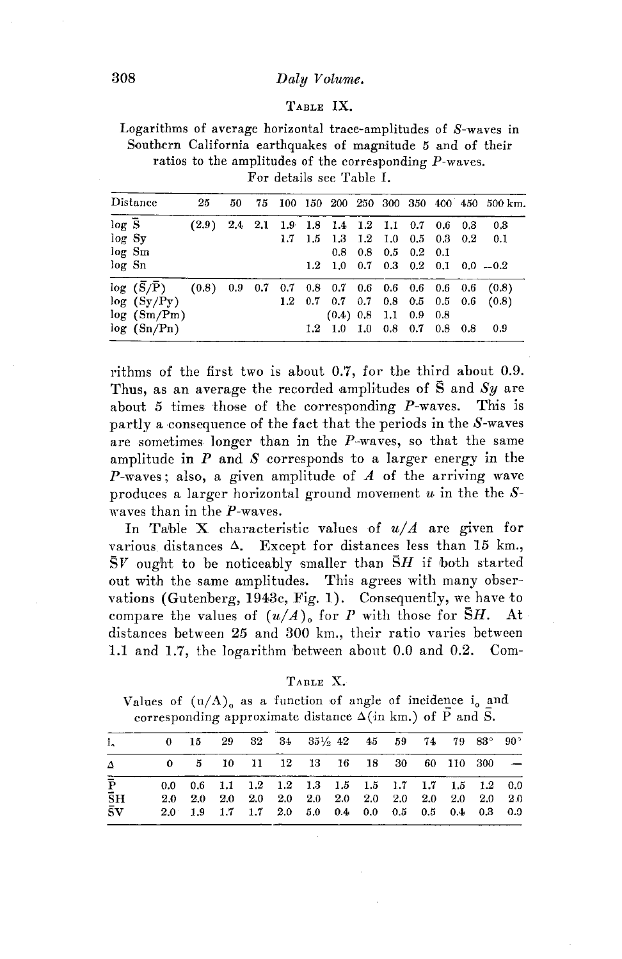#### **308** *Daly V olwme.*

#### TABLE IX.

Logarithms of average horizontal trace-amplitudes of S-waves in Southern California earthquakes of magnitude 5 and of their ratios to the amplitudes of the corresponding P-waves. For details see Table I.

|                   | Distance    | 25    | 50 |  |                                           |  |                         |  | 75 100 150 200 250 300 350 400 450 500 km.            |
|-------------------|-------------|-------|----|--|-------------------------------------------|--|-------------------------|--|-------------------------------------------------------|
| $log\overline{S}$ |             | (2.9) |    |  | 2.4 2.1 1.9 1.8 1.4 1.2 1.1 0.7 0.6 0.3   |  |                         |  | 0.3                                                   |
| log Sy            |             |       |    |  | 1.7 1.5 1.3 1.2 1.0 0.5 0.3 0.2           |  |                         |  | 0.1                                                   |
|                   | log Sm      |       |    |  | 0.8                                       |  | $0.8$ 0.5 0.2 0.1       |  |                                                       |
| log Sn            |             |       |    |  |                                           |  |                         |  | $1.2$ 1.0 0.7 0.3 0.2 0.1 0.0 $-0.2$                  |
|                   | log (S/P)   |       |    |  |                                           |  |                         |  | $(0.8)$ 0.9 0.7 0.7 0.8 0.7 0.6 0.6 0.6 0.6 0.6 (0.8) |
|                   | log (Sy/Py) |       |    |  | $1.2$ 0.7 0.7 0.7 0.8 0.5 0.5 0.6         |  |                         |  | (0.8)                                                 |
|                   | log (Sm/Pm) |       |    |  |                                           |  | $(0.4)$ 0.8 1.1 0.9 0.8 |  |                                                       |
|                   | log (Sn/Pn) |       |    |  | $1.2$ $1.0$ $1.0$ $0.8$ $0.7$ $0.8$ $0.8$ |  |                         |  | 0.9                                                   |

rithms of the first two is about 0.7, for the third about 0.9. Thus, as an average the recorded amplitudes of  $\bar{S}$  and  $Sy$  are about 5 times those of the corresponding P-waves. This is partly a consequence of the fact that the periods in the  $S$ -waves are sometimes longer than in the  $P$ -waves, so that the same amplitude in  $P$  and  $S$  corresponds to a larger energy in the P-waves; also, a given amplitude of  $A$  of the arriving wave produces a larger horizontal ground movement  $u$  in the the  $S$ waves than in the P-waves.

In Table X characteristic values of  $u/A$  are given for various distances  $\Delta$ . Except for distances less than 15 km.,  $S_V$  ought to be noticeably smaller than  $\overline{S}H$  if both started out with the same amplitudes. This agrees with many observations (Gutenberg, 1943c, Fig. 1). Consequently, we have to compare the values of  $(u/A)$  for P with those for  $\overline{S}H$ . At distances between 25 and 300 km., their ratio varies between 1.1 and 1.7, the logarithm between about 0.0 and 0.2. Com-

| ۱RT.<br>H. |  |
|------------|--|
|------------|--|

Values of  $(u/A)$  as a function of angle of incidence i<sub>0</sub> and corresponding approximate distance  $\Delta$ (in km.) of P and S.

| i.                           | 0 15 29 32 34 35 $\frac{1}{2}$ 45 59 74 79 83° 90°                                                                            |  |  |  |  |  |  |
|------------------------------|-------------------------------------------------------------------------------------------------------------------------------|--|--|--|--|--|--|
|                              | $0 \quad 5 \quad 10 \quad 11 \quad 12 \quad 13 \quad 16 \quad 18 \quad 30 \quad 60 \quad 110 \quad 300 \quad -$               |  |  |  |  |  |  |
| $\bar{P}$                    | $0.0 \quad 0.6 \quad 1.1 \quad 1.2 \quad 1.2 \quad 1.3 \quad 1.5 \quad 1.5 \quad 1.7 \quad 1.7 \quad 1.5 \quad 1.2 \quad 0.0$ |  |  |  |  |  |  |
| $\bar{\mathbf{S}}$ H         |                                                                                                                               |  |  |  |  |  |  |
| $\bar{\mathbf{s}}\mathbf{v}$ | $2.0$ 1.9 1.7 1.7 2.0 5.0 0.4 0.0 0.5 0.5 0.4 0.3 0.0                                                                         |  |  |  |  |  |  |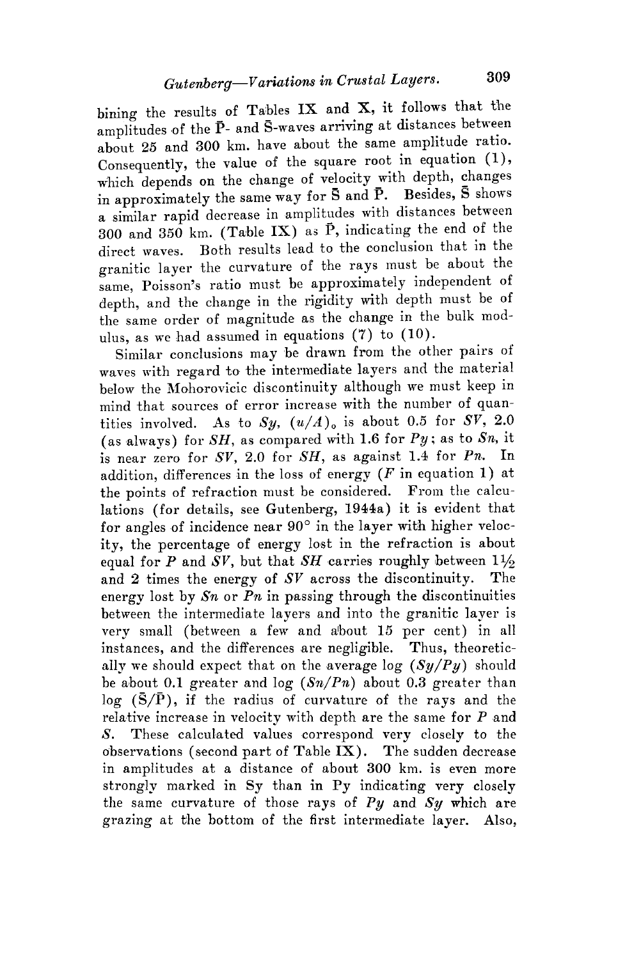bining the results of Tables IX and X, it follows that the amplitudes of the  $\bar{P}$ - and S-waves arriving at distances between about 25 and 300 km. have about the same amplitude ratio. Consequently, the value of the square root in equation (1), which depends on the change of velocity with depth, changes in approximately the same way for S and **P.** Besides, **S** shows a similar rapid decrease in amplitudes with distances between 300 and 350 km. (Table **IX)** as **f>,** indicating the end of the direct waves. Both results lead to the oonclusion that in the granitic layer the curvature of the rays must be about the same, Poisson's ratio must be approximately independent of depth, and the change in the rigidity with depth must be of the same order of magnitude as the change in the bulk modulus, as we had assumed in equations (7) to (10).

Similar conclusions may be drawn from the other pairs of waves with regard to the intermediate layers and the material below the Mohorovicic discontinuity although we must keep in mind that sources of error increase with the number of quantities involved. As to  $Sy, (u/A)_{0}$  is about 0.5 for  $SV$ , 2.0 ( as always) for *SH,* as compared with 1.6 for *Py;* as to *Sn,* it is near zero for *SV,* 2.0 for *SH,* as against 1.4 for *Pn.* In addition, differences in the loss of energy  $(F \text{ in equation 1})$  at the points of refraction must be considered. From the calculations (for details, see Gutenberg, 1944a) it is evident that for angles of incidence near 90° in the layer with higher velocity, the percentage of energy lost in the refraction is about equal for *P* and *SV*, but that *SH* carries roughly between  $1\frac{1}{2}$ and 2 times the energy of *SV* across the discontinuity. The energy lost by *Sn* or *Pn* in passing through the discontinuities between the intermediate layers and into the granitic layer is very small (between a few and about 15 per cent) in all instances, and the differences are negligible. Thus, theoretically we should expect that on the average log  $(Sy/Py)$  should be about 0.1 greater and log *(Sn/Pn)* about 0.3 greater than  $\log$  ( $\overline{S}/\overline{P}$ ), if the radius of curvature of the rays and the relative increase in velocity with depth are the same for  $P$  and S. These calculated values correspond very closely to the observations ( second part of Table **IX).** The sudden decrease in amplitudes at a distance of about 300 km. is even more strongly marked in Sy than in Py indicating very closely the same curvature of those rays of *Py* and *Sy* which are grazing at the bottom of the first intermediate layer. Also,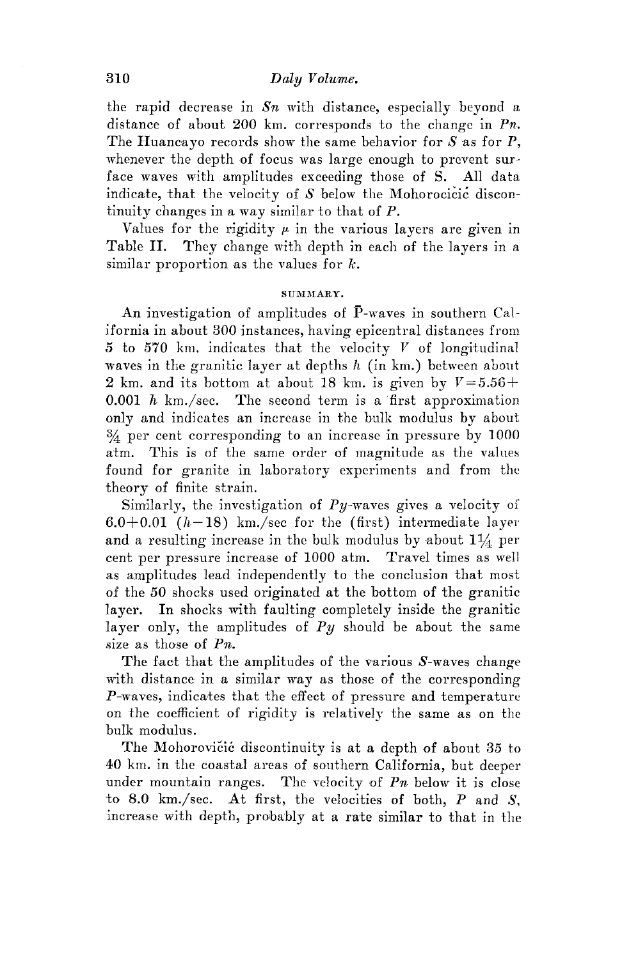### 310 *Daly V olwme.*

the rapid decrease in *Sn* with distance, especially beyond a distance of about 200 km. corresponds to the change in *Pn,.*  The Huancayo records show the same behavior for  $S$  as for  $P$ , whenever the depth of focus was large enough to prevent surface waves with amplitudes exceeding those of S. All data indicate, that the velocity of  $S$  below the Mohorocicic discontinuity changes in a way similar to that of P.

Values for the rigidity  $\mu$  in the various layers are given in Table II. They change with depth in each of the layers in a similar proportion as the values for  $k$ .

#### SUMMARY.

An investigation of amplitudes of P-waves in southern California in about 300 instances, having epicentral distances from 5 to 570 km. indicates that the velocity *V* of longitudinal waves in the granitic layer at depths  $h$  (in km.) between about 2 km. and its bottom at about 18 km. is given by  $V = 5.56 +$ 0.001  $h$  km./sec. The second term is a first approximation only and indicates an increase in the bulk modulus by about ¾ per cent corresponding to an increase in pressure by 1000 atm. This is of the same order of magnitude as the values found for granite in laboratory experiments and from the theory of finite strain.

Similarly, the investigation of  $Py$ -waves gives a velocity of 6.0+0.01 ( $h-18$ ) km./sec for the (first) intermediate layer and a resulting increase in the bulk modulus by about  $1\frac{1}{4}$  per cent per pressure increase of 1000 atm. Travel times as well as amplitudes lead independently to the conclusion that most of the 50 shocks used originated at the bottom of the granitic layer. In shocks with faulting completely inside the granitic layer only, the amplitudes of *Py* should be about the same size as those of  $P_n$ .

The fact that the amplitudes of the various 8-waves change with distance in a similar way as those of the corresponding  $P$ -waves, indicates that the effect of pressure and temperature on the coefficient of rigidity is relatively the same as on the bulk modulus.

The Mohorovicic discontinuity is at a depth of about 35 to 40 km. in the coastal areas of southern California, but deeper under mountain ranges. The velocity of *Pn* below it is close to 8.0 km./sec. At first, the velocities of both,  $P$  and  $S$ , increase with depth, probably at a rate similar to that in the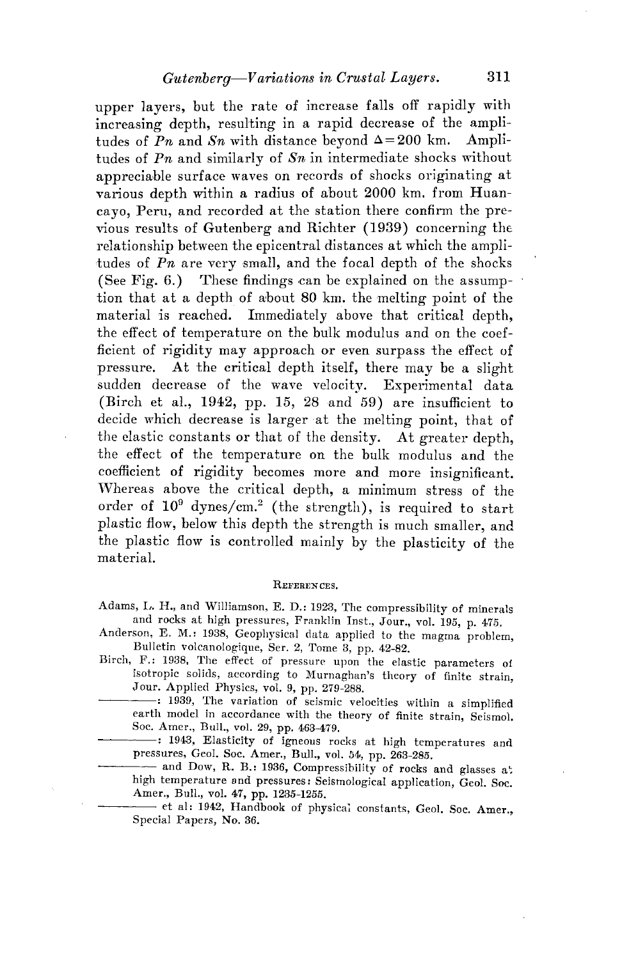upper layers, but the rate of increase falls off rapidly with increasing depth, resulting in a rapid decrease of the amplitudes of  $Pn$  and  $Sn$  with distance beyond  $\Delta = 200$  km. Amplitudes of *Pn* and similarly of *Sn* in intermediate shocks without appreciable surface waves on records of shocks originating at various depth within a radius of about 2000 km. from Huancayo, Peru, and recorded at the station there confirm the previous results of Gutenberg and Richter **(1939)** concerning the relationship between the epicentral distances at which the ampli- •tudes of *Pn* are very small, and the focal depth of the shocks (See Fig. 6.) These findings can be explained on the assumption that at a depth of about 80 km. the melting point of the material is reached. Immediately above that critical depth, the effect of temperature on the hulk modulus and on the coefficient of rigidity may approach or even surpass the effect of pressure. At the critical depth itself, there may be a slight sudden decrease of the wave velocity. Experimental data (Birch et al., 1942, pp. 15, 28 and 59) are insufficient to decide which decrease is larger at the melting point, that of the elastic constants or that of the density. At greater depth, the effect of the temperature on the bulk modulus and the coefficient of rigidity becomes more and more insignificant. Whereas above the critical depth, a minimum stress of the order of  $10^9$  dynes/cm.<sup>2</sup> (the strength), is required to start plastic flow, below this depth the strength is much smaller, and the plastic flow is controlled mainly by the plasticity of the material.

#### REFERENCES,

Adams, L. H., and Williamson, E. D.: 1923, The compressibility of minerals and rocks at high pressures, Franklin Inst., Jour., vol. 195, p. 475.

- Anderson, E. M.: 1938, Geophysical data applied to the magma problem, Bulletin volcanologique, Ser. 2, Tome 3, pp. 42-82.
- Birch, F.: 1938, The effect of pressure upon the elastic parameters ot isotropic solids, according to Murnaghan's theory of finite strain, Jour. Applied Physics, vol. 9, pp. 279-288.
- -: 1939, The variation of seismic velocities within a simplified earth model in accordance with the theory of finite strain, Seismol. Soc. Amer., Bull., vol; 29, pp. 463-479.
- -: 1943, Elasticity of igneous rocks at high temperatures and pressures, Geol. Soc. Amer., Bull., vol. 54, pp. 263-285.

---- and Dow, R. B.: 1936, Compressibility of rocks and glasses at high temperature and pressures: Seismological application, Geol. Soc. Amer., Bull., vol. 47, pp. 1235-1255.

--- et al: 1942, Handbook of physical constants, Geol. Soc. Amer., Special Papers, No. 36.